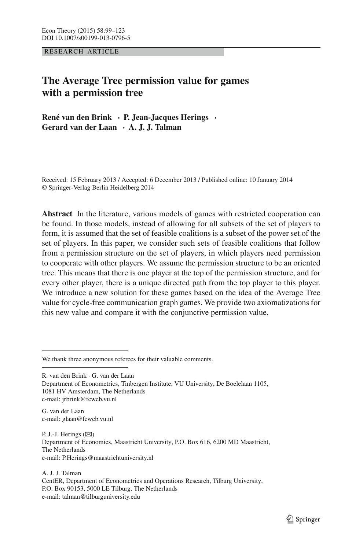RESEARCH ARTICLE

# **The Average Tree permission value for games with a permission tree**

**René van den Brink · P. Jean-Jacques Herings · Gerard van der Laan · A. J. J. Talman**

Received: 15 February 2013 / Accepted: 6 December 2013 / Published online: 10 January 2014 © Springer-Verlag Berlin Heidelberg 2014

**Abstract** In the literature, various models of games with restricted cooperation can be found. In those models, instead of allowing for all subsets of the set of players to form, it is assumed that the set of feasible coalitions is a subset of the power set of the set of players. In this paper, we consider such sets of feasible coalitions that follow from a permission structure on the set of players, in which players need permission to cooperate with other players. We assume the permission structure to be an oriented tree. This means that there is one player at the top of the permission structure, and for every other player, there is a unique directed path from the top player to this player. We introduce a new solution for these games based on the idea of the Average Tree value for cycle-free communication graph games. We provide two axiomatizations for this new value and compare it with the conjunctive permission value.

We thank three anonymous referees for their valuable comments.

R. van den Brink · G. van der Laan Department of Econometrics, Tinbergen Institute, VU University, De Boelelaan 1105, 1081 HV Amsterdam, The Netherlands e-mail: jrbrink@feweb.vu.nl

G. van der Laan e-mail: glaan@feweb.vu.nl

P. J.-J. Herings  $(\boxtimes)$ Department of Economics, Maastricht University, P.O. Box 616, 6200 MD Maastricht, The Netherlands e-mail: P.Herings@maastrichtuniversity.nl

A. J. J. Talman CentER, Department of Econometrics and Operations Research, Tilburg University, P.O. Box 90153, 5000 LE Tilburg, The Netherlands e-mail: talman@tilburguniversity.edu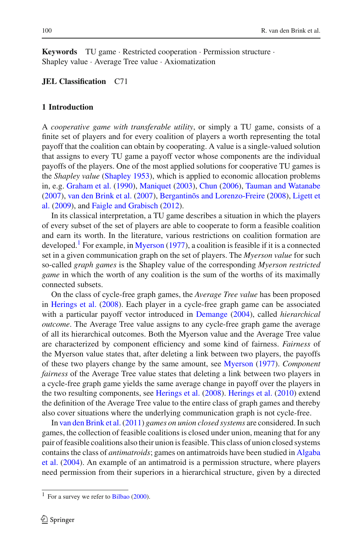**Keywords** TU game · Restricted cooperation · Permission structure · Shapley value · Average Tree value · Axiomatization

### **JEL Classification** C71

## **1 Introduction**

A *cooperative game with transferable utility*, or simply a TU game, consists of a finite set of players and for every coalition of players a worth representing the total payoff that the coalition can obtain by cooperating. A value is a single-valued solution that assigns to every TU game a payoff vector whose components are the individual payoffs of the players. One of the most applied solutions for cooperative TU games is the *Shapley value* [\(Shapley 1953](#page-24-0)), which is applied to economic allocation problems in, e.g. [Graham et al.](#page-23-0) [\(1990\)](#page-23-0), [Maniquet](#page-24-1) [\(2003](#page-24-1)), [Chun](#page-23-1) [\(2006](#page-23-1)), [Tauman and Watanabe](#page-24-2) [\(2007\)](#page-24-2), [van den Brink et al.](#page-24-3) [\(2007](#page-24-3)), [Bergantinõs and Lorenzo-Freire](#page-23-2) [\(2008](#page-23-2)), Ligett et al. [\(2009](#page-23-3)), and [Faigle and Grabisch](#page-23-4) [\(2012](#page-23-4)).

In its classical interpretation, a TU game describes a situation in which the players of every subset of the set of players are able to cooperate to form a feasible coalition and earn its worth. In the literature, various restrictions on coalition formation are developed.<sup>[1](#page-1-0)</sup> For example, in [Myerson](#page-24-4)  $(1977)$  $(1977)$ , a coalition is feasible if it is a connected set in a given communication graph on the set of players. The *Myerson value* for such so-called *graph games* is the Shapley value of the corresponding *Myerson restricted game* in which the worth of any coalition is the sum of the worths of its maximally connected subsets.

On the class of cycle-free graph games, the *Average Tree value* has been proposed in [Herings et al.](#page-23-5) [\(2008\)](#page-23-5). Each player in a cycle-free graph game can be associated with a particular payoff vector introduced in [Demange](#page-23-6) [\(2004\)](#page-23-6), called *hierarchical outcome*. The Average Tree value assigns to any cycle-free graph game the average of all its hierarchical outcomes. Both the Myerson value and the Average Tree value are characterized by component efficiency and some kind of fairness. *Fairness* of the Myerson value states that, after deleting a link between two players, the payoffs of these two players change by the same amount, see [Myerson](#page-24-4) [\(1977](#page-24-4)). *Component fairness* of the Average Tree value states that deleting a link between two players in a cycle-free graph game yields the same average change in payoff over the players in the two resulting components, see [Herings et al.](#page-23-5) [\(2008](#page-23-5)). [Herings et al.](#page-23-7) [\(2010\)](#page-23-7) extend the definition of the Average Tree value to the entire class of graph games and thereby also cover situations where the underlying communication graph is not cycle-free.

In [van den Brink et al.\(2011\)](#page-24-5) *games on union closed systems* are considered. In such games, the collection of feasible coalitions is closed under union, meaning that for any pair of feasible coalitions also their union is feasible. This class of union closed systems contains the class of *antimatroids*[;](#page-23-8) [games](#page-23-8) [on](#page-23-8) [antimatroids](#page-23-8) [have](#page-23-8) [been](#page-23-8) [studied](#page-23-8) [in](#page-23-8) Algaba et al. [\(2004](#page-23-8)). An example of an antimatroid is a permission structure, where players need permission from their superiors in a hierarchical structure, given by a directed

<span id="page-1-0"></span> $1$  For a survey we refer to [Bilbao](#page-23-9) [\(2000\)](#page-23-9).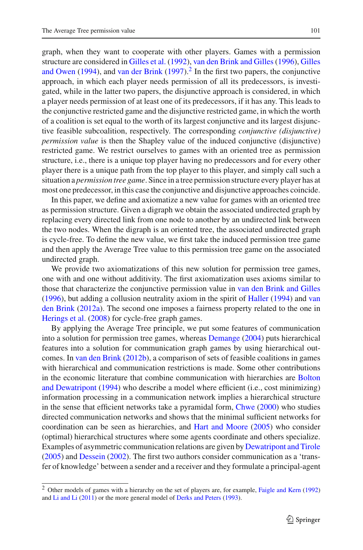graph, when they want to cooperate with other players. Games with a permission structure are considered in [Gilles et al.](#page-23-10) [\(1992](#page-23-10)), [van den Brink and Gilles](#page-24-6) [\(1996](#page-24-6)), Gilles and Owen [\(1994](#page-23-11)), and [van der Brink](#page-24-7)  $(1997)$ .<sup>[2](#page-2-0)</sup> In the first two papers, the conjunctive approach, in which each player needs permission of all its predecessors, is investigated, while in the latter two papers, the disjunctive approach is considered, in which a player needs permission of at least one of its predecessors, if it has any. This leads to the conjunctive restricted game and the disjunctive restricted game, in which the worth of a coalition is set equal to the worth of its largest conjunctive and its largest disjunctive feasible subcoalition, respectively. The corresponding *conjunctive (disjunctive) permission value* is then the Shapley value of the induced conjunctive (disjunctive) restricted game. We restrict ourselves to games with an oriented tree as permission structure, i.e., there is a unique top player having no predecessors and for every other player there is a unique path from the top player to this player, and simply call such a situation a *permission tree game*. Since in a tree permission structure every player has at most one predecessor, in this case the conjunctive and disjunctive approaches coincide.

In this paper, we define and axiomatize a new value for games with an oriented tree as permission structure. Given a digraph we obtain the associated undirected graph by replacing every directed link from one node to another by an undirected link between the two nodes. When the digraph is an oriented tree, the associated undirected graph is cycle-free. To define the new value, we first take the induced permission tree game and then apply the Average Tree value to this permission tree game on the associated undirected graph.

We provide two axiomatizations of this new solution for permission tree games, one with and one without additivity. The first axiomatization uses axioms similar to those that characterize the conjunctive permission value in [van den Brink and Gilles](#page-24-6) [\(1996\)](#page-24-6), b[ut](#page-24-8) [adding](#page-24-8) [a](#page-24-8) [collusion](#page-24-8) [neutrality](#page-24-8) [axiom](#page-24-8) [in](#page-24-8) [the](#page-24-8) [spirit](#page-24-8) [of](#page-24-8) [Haller](#page-23-12) [\(1994](#page-23-12)) and van den Brink [\(2012a\)](#page-24-8). The second one imposes a fairness property related to the one in [Herings et al.](#page-23-5) [\(2008\)](#page-23-5) for cycle-free graph games.

By applying the Average Tree principle, we put some features of communication into a solution for permission tree games, whereas [Demange](#page-23-6) [\(2004](#page-23-6)) puts hierarchical features into a solution for communication graph games by using hierarchical outcomes. In [van den Brink](#page-24-9) [\(2012b](#page-24-9)), a comparison of sets of feasible coalitions in games with hierarchical and communication restrictions is made. Some other contributions in the economic [literature](#page-23-13) [that](#page-23-13) [combine](#page-23-13) [communication](#page-23-13) [with](#page-23-13) [hierarchies](#page-23-13) [are](#page-23-13) Bolton and Dewatripont [\(1994\)](#page-23-13) who describe a model where efficient (i.e., cost minimizing) information processing in a communication network implies a hierarchical structure in the sense that efficient networks take a pyramidal form, [Chwe](#page-23-14) [\(2000\)](#page-23-14) who studies directed communication networks and shows that the minimal sufficient networks for coordination can be seen as hierarchies, and [Hart and Moore](#page-23-15) [\(2005\)](#page-23-15) who consider (optimal) hierarchical structures where some agents coordinate and others specialize. Examples of asymmetric communication relations are given by [Dewatripont and Tirole](#page-23-16) [\(2005\)](#page-23-16) and [Dessein](#page-23-17) [\(2002\)](#page-23-17). The first two authors consider communication as a 'transfer of knowledge' between a sender and a receiver and they formulate a principal-agent

<span id="page-2-0"></span><sup>2</sup> Other models of games with a hierarchy on the set of players are, for example, [Faigle and Kern](#page-23-18) [\(1992](#page-23-18)) and [Li and Li](#page-23-19) [\(2011](#page-23-19)) or the more general model of [Derks and Peters](#page-23-20) [\(1993](#page-23-20)).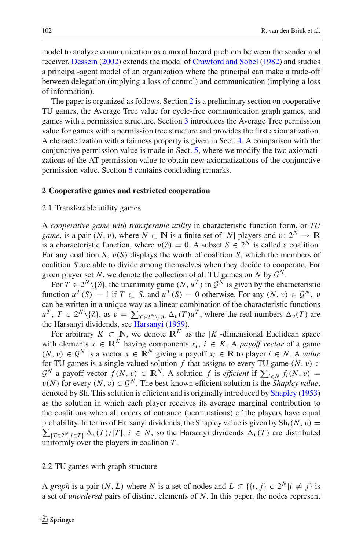model to analyze communication as a moral hazard problem between the sender and receiver. [Dessein](#page-23-17) [\(2002\)](#page-23-17) extends the model of [Crawford and Sobel](#page-23-21) [\(1982](#page-23-21)) and studies a principal-agent model of an organization where the principal can make a trade-off between delegation (implying a loss of control) and communication (implying a loss of information).

The paper is organized as follows. Section [2](#page-3-0) is a preliminary section on cooperative TU games, the Average Tree value for cycle-free communication graph games, and games with a permission structure. Section [3](#page-7-0) introduces the Average Tree permission value for games with a permission tree structure and provides the first axiomatization. A characterization with a fairness property is given in Sect. [4.](#page-14-0) A comparison with the conjunctive permission value is made in Sect. [5,](#page-17-0) where we modify the two axiomatizations of the AT permission value to obtain new axiomatizations of the conjunctive permission value. Section [6](#page-21-0) contains concluding remarks.

## <span id="page-3-0"></span>**2 Cooperative games and restricted cooperation**

#### 2.1 Transferable utility games

A *cooperative game with transferable utility* in characteristic function form, or *TU game*, is a pair  $(N, v)$ , where  $N \subset \mathbb{N}$  is a finite set of |*N*| players and  $v: 2^N \to \mathbb{R}$ is a characteristic function, where  $v(\emptyset) = 0$ . A subset  $S \in 2^N$  is called a coalition. For any coalition *S*,  $v(S)$  displays the worth of coalition *S*, which the members of coalition *S* are able to divide among themselves when they decide to cooperate. For given player set *N*, we denote the collection of all TU games on *N* by  $\mathcal{G}^N$ .

For  $T \in 2^N \setminus \{\emptyset\}$ , the unanimity game  $(N, u^T)$  in  $\mathcal{G}^N$  is given by the characteristic function  $u^T(S) = 1$  if  $T \subset S$ , and  $u^T(S) = 0$  otherwise. For any  $(N, v) \in \mathcal{G}^N$ , v can be written in a unique way as a linear combination of the characteristic functions  $u^T$ ,  $T \in 2^N \setminus \{\emptyset\}$ , as  $v = \sum_{T \in 2^N \setminus \{\emptyset\}} \Delta_v(T) u^T$ , where the real numbers  $\Delta_v(T)$  are the Harsanyi dividends, see [Harsanyi](#page-23-22) [\(1959\)](#page-23-22).

For arbitrary  $K \subset \mathbb{N}$ , we denote  $\mathbb{R}^K$  as the |*K*|-dimensional Euclidean space with elements  $x \in \mathbb{R}^K$  having components  $x_i$ ,  $i \in K$ . A *payoff vector* of a game  $(N, v)$  ∈  $\mathcal{G}^N$  is a vector  $x \in \mathbb{R}^N$  giving a payoff  $x_i \in \mathbb{R}$  to player  $i \in N$ . A *value* for TU games is a single-valued solution *f* that assigns to every TU game  $(N, v) \in$  $G^N$  a payoff vector  $f(N, v) \in \mathbb{R}^N$ . A solution *f* is *efficient* if  $\sum_{i \in N} f_i(N, v) =$  $v(N)$  for every  $(N, v) \in \mathcal{G}^N$ . The best-known efficient solution is the *Shapley value*, denoted by Sh. This solution is efficient and is originally introduced by [Shapley](#page-24-0) [\(1953\)](#page-24-0) as the solution in which each player receives its average marginal contribution to the coalitions when all orders of entrance (permutations) of the players have equal probability. In terms of Harsanyi dividends, the Shapley value is given by  $\text{Sh}_{i}(N, v) =$  $\sum_{\{T \in 2^N | i \in T\}} \Delta_v(T)/|T|, i \in N$ , so the Harsanyi dividends  $\Delta_v(T)$  are distributed uniformly over the players in coalition *T*.

#### 2.2 TU games with graph structure

A *graph* is a pair  $(N, L)$  where *N* is a set of nodes and  $L \subset \{\{i, j\} \in 2^N | i \neq j\}$  is a set of *unordered* pairs of distinct elements of *N*. In this paper, the nodes represent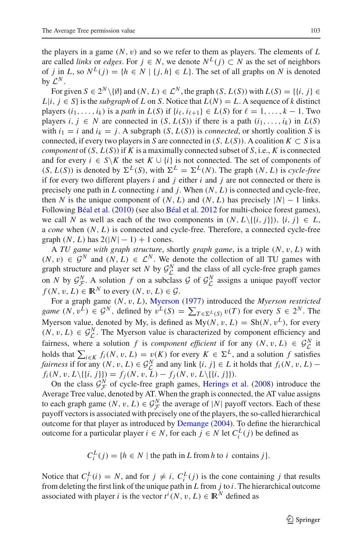the players in a game  $(N, v)$  and so we refer to them as players. The elements of  $L$ are called *links* or *edges*. For *j* ∈ *N*, we denote  $N^L$ (*j*) ⊂ *N* as the set of neighbors of *j* in *L*, so  $N^L(j) = \{h \in N \mid \{j, h\} \in L\}$ . The set of all graphs on *N* is denoted by  $\mathcal{L}^N$ .

For given  $S \in 2^N \setminus \{0\}$  and  $(N, L) \in \mathcal{L}^N$ , the graph  $(S, L(S))$  with  $L(S) = \{ \{i, j\} \in$  $L|i, j \in S$  is the *subgraph* of *L* on *S*. Notice that  $L(N) = L$ . A sequence of *k* distinct players  $(i_1, \ldots, i_k)$  is a *path* in  $L(S)$  if  $\{i_\ell, i_{\ell+1}\} \in L(S)$  for  $\ell = 1, \ldots, k - 1$ . Two players  $i, j \in N$  are connected in  $(S, L(S))$  if there is a path  $(i_1, \ldots, i_k)$  in  $L(S)$ with  $i_1 = i$  and  $i_k = j$ . A subgraph  $(S, L(S))$  is *connected*, or shortly coalition *S* is connected, if every two players in *S* are connected in  $(S, L(S))$ . A coalition  $K \subset S$  is a *component* of  $(S, L(S))$  if *K* is a maximally connected subset of *S*, i.e., *K* is connected and for every  $i \in S \backslash K$  the set  $K \cup \{i\}$  is not connected. The set of components of  $(S, L(S))$  is denoted by  $\Sigma^{L}(S)$ , with  $\Sigma^{L} = \Sigma^{L}(N)$ . The graph  $(N, L)$  is *cycle-free* if for every two different players *i* and *j* either *i* and *j* are not connected or there is precisely one path in *L* connecting *i* and *j*. When (*N*, *L*) is connected and cycle-free, then *N* is the unique component of  $(N, L)$  and  $(N, L)$  has precisely  $|N| - 1$  links. Following [Béal et al.](#page-23-23) [\(2010\)](#page-23-23) (see also [Béal et al. 2012](#page-23-24) for multi-choice forest games), we call *N* as well as each of the two components in  $(N, L\setminus\{i, j\})$ ,  $\{i, j\} \in L$ , a *cone* when (*N*, *L*) is connected and cycle-free. Therefore, a connected cycle-free graph  $(N, L)$  has  $2(|N| - 1) + 1$  cones.

A *TU game with graph structure*, shortly *graph game*, is a triple (*N*, v, *L*) with  $(N, v) \in \mathcal{G}^N$  and  $(N, L) \in \mathcal{L}^N$ . We denote the collection of all TU games with graph structure and player set *N* by  $G^N$  and the class of all cycle-free graph games on *N* by  $\mathcal{G}_{\mathcal{L}}^N$ . A solution *f* on a subclass  $\mathcal{G}$  of  $\mathcal{G}_{\mathcal{L}}^N$  assigns a unique payoff vector  $f(N, v, L) \in \mathbb{R}^N$  to every  $(N, v, L) \in \mathcal{G}$ .

For a graph game (*N*, v, *L*), [Myerson](#page-24-4) [\(1977\)](#page-24-4) introduced the *Myerson restricted game*  $(N, v^L) \in \mathcal{G}^N$ , defined by  $v^L(S) = \sum_{T \in \Sigma^L(S)} v(T)$  for every  $S \in 2^N$ . The Myerson value, denoted by My, is defined as  $My(N, v, L) = Sh(N, v^L)$ , for every  $(N, v, L) \in \mathcal{G}_{\mathcal{L}}^N$ . The Myerson value is characterized by component efficiency and fairness, where a solution *f* is *component efficient* if for any  $(N, v, L) \in \mathcal{G}_{\mathcal{L}}^N$  it holds that  $\sum_{i \in K} f_i(N, v, L) = v(K)$  for every  $K \in \Sigma^L$ , and a solution *f* satisfies *fairness* if for any  $(N, v, L) \in \mathcal{G}_\mathcal{L}^N$  and any link  $\{i, j\} \in L$  it holds that  $f_i(N, v, L) - f_i(N, v, L \setminus \{\{i, j\}\}) = f_j(N, v, L) - f_j(N, v, L \setminus \{\{i, j\}\}).$ 

On the class  $\mathcal{G}_{\mathcal{F}}^N$  of cycle-free graph games, [Herings et al.](#page-23-5) [\(2008\)](#page-23-5) introduce the Average Tree value, denoted by AT. When the graph is connected, the AT value assigns to each graph game  $(N, v, L) \in \mathcal{G}_{\mathcal{F}}^N$  the average of  $|N|$  payoff vectors. Each of these payoff vectors is associated with precisely one of the players, the so-called hierarchical outcome for that player as introduced by [Demange](#page-23-6) [\(2004\)](#page-23-6). To define the hierarchical outcome for a particular player *i* ∈ *N*, for each *j* ∈ *N* let  $C_i^L(j)$  be defined as

 $C_i^L(j) = \{h \in N \mid \text{the path in } L \text{ from } h \text{ to } i \text{ contains } j\}.$ 

Notice that  $C_i^L(i) = N$ , and for  $j \neq i$ ,  $C_i^L(j)$  is the cone containing *j* that results from deleting the first link of the unique path in *L* from *j* to *i*. The hierarchical outcome associated with player *i* is the vector  $t^i(N, v, L) \in \mathbb{R}^N$  defined as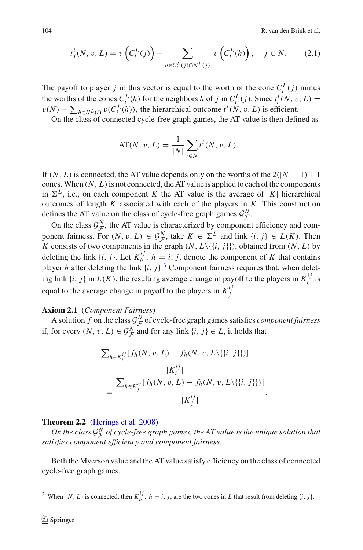$$
t_j^i(N, v, L) = v\left(C_i^L(j)\right) - \sum_{h \in C_i^L(j) \cap N^L(j)} v\left(C_i^L(h)\right), \quad j \in N. \tag{2.1}
$$

The payoff to player *j* in this vector is equal to the worth of the cone  $C_i^L(j)$  minus the worths of the cones  $C_i^L(h)$  for the neighbors *h* of *j* in  $C_i^L(j)$ . Since  $t_i^i(N, v, L) =$  $v(N) - \sum_{h \in N} v(C_i^L(h))$ , the hierarchical outcome  $t^i(N, v, L)$  is efficient.

On the class of connected cycle-free graph games, the AT value is then defined as

AT(N, v, L) = 
$$
\frac{1}{|N|} \sum_{i \in N} t^{i}(N, v, L).
$$

If  $(N, L)$  is connected, the AT value depends only on the worths of the  $2(|N|-1)+1$ cones. When  $(N, L)$  is not connected, the AT value is applied to each of the components in  $\Sigma^L$ , i.e., on each component *K* the AT value is the average of |*K*| hierarchical outcomes of length *K* associated with each of the players in *K*. This construction defines the AT value on the class of cycle-free graph games  $G^N_{\mathcal{F}}$ .

On the class  $\mathcal{G}_{\mathcal{F}}^N$ , the AT value is characterized by component efficiency and component fairness. For  $(N, v, L) \in \mathcal{G}_{\mathcal{F}}^N$ , take  $K \in \Sigma^L$  and link  $\{i, j\} \in L(K)$ . Then K consists of two components in the graph  $(N, L \setminus \{\{i, j\}\})$ , obtained from  $(N, L)$  by deleting the link  $\{i, j\}$ . Let  $K_h^{ij}$ ,  $h = i, j$ , denote the component of K that contains player *h* after deleting the link  $\{i, j\}$ .<sup>[3](#page-5-0)</sup> Component fairness requires that, when deleting link  $\{i, j\}$  in  $L(K)$ , the resulting average change in payoff to the players in  $K_i^{ij}$  is equal to the average change in payoff to the players in  $K_j^{ij}$ .

## <span id="page-5-1"></span>**Axiom 2.1** (*Component Fairness*)

A solution *f* on the class  $G^N_{\mathcal{F}}$  of cycle-free graph games satisfies *component fairness* if, for every  $(N, v, L) \in \mathcal{G}_{\mathcal{F}}^N$  and for any link  $\{i, j\} \in L$ , it holds that

$$
\frac{\sum_{h \in K_i^{ij}} [f_h(N, v, L) - f_h(N, v, L \setminus \{ \{ i, j \} \})]}{|K_i^{ij}|}
$$
\n
$$
= \frac{\sum_{h \in K_j^{ij}} [f_h(N, v, L) - f_h(N, v, L \setminus \{ \{ i, j \} \})]}{|K_j^{ij}|}.
$$

## **Theorem 2.2** [\(Herings et al. 2008](#page-23-5))

*On the class*  $\mathcal{G}^N_{\mathcal{F}}$  of cycle-free graph games, the AT value is the unique solution that *satisfies component efficiency and component fairness.*

Both the Myerson value and the AT value satisfy efficiency on the class of connected cycle-free graph games.

<span id="page-5-0"></span><sup>&</sup>lt;sup>3</sup> When  $(N, L)$  is connected, then  $K_h^{ij}$ ,  $h = i, j$ , are the two cones in *L* that result from deleting  $\{i, j\}$ .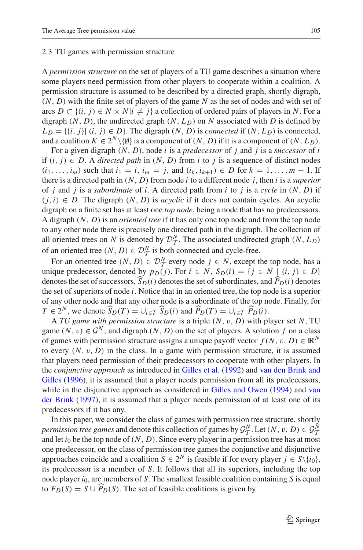#### <span id="page-6-0"></span>2.3 TU games with permission structure

A *permission structure* on the set of players of a TU game describes a situation where some players need permission from other players to cooperate within a coalition. A permission structure is assumed to be described by a directed graph, shortly digraph, (*N*, *D*) with the finite set of players of the game *N* as the set of nodes and with set of arcs *D* ⊂ {(*i*, *j*) ∈ *N* × *N*|*i*  $\neq$  *j*} a collection of ordered pairs of players in *N*. For a digraph  $(N, D)$ , the undirected graph  $(N, L_D)$  on  $N$  associated with  $D$  is defined by  $L_D = \{ \{i, j\} | (i, j) \in D \}$ . The digraph  $(N, D)$  is *connected* if  $(N, L_D)$  is connected, and a coalition  $K \in 2^N \setminus \{0\}$  is a component of  $(N, D)$  if it is a component of  $(N, L_D)$ .

For a given digraph (*N*, *D*), node *i* is a *predecessor* of *j* and *j* is a *successor* of *i* if (*i*, *j*) ∈ *D*. A *directed path* in (*N*, *D*) from *i* to *j* is a sequence of distinct nodes  $(i_1, \ldots, i_m)$  such that  $i_1 = i$ ,  $i_m = j$ , and  $(i_k, i_{k+1}) \in D$  for  $k = 1, \ldots, m-1$ . If there is a directed path in (*N*, *D*) from node *i* to a different node *j*, then *i* is a *superior* of *j* and *j* is a *subordinate* of *i*. A directed path from *i* to *j* is a *cycle* in (*N*, *D*) if  $(i, i) \in D$ . The digraph  $(N, D)$  is *acyclic* if it does not contain cycles. An acyclic digraph on a finite set has at least one *top node*, being a node that has no predecessors. A digraph (*N*, *D*) is an *oriented tree* if it has only one top node and from the top node to any other node there is precisely one directed path in the digraph. The collection of all oriented trees on *N* is denoted by  $\mathcal{D}_T^N$ . The associated undirected graph  $(N, L_D)$ of an oriented tree  $(N, D) \in \mathcal{D}_T^N$  is both connected and cycle-free.

For an oriented tree  $(N, D) \in \mathcal{D}_X^N$  every node  $j \in N$ , except the top node, has a unique predecessor, denoted by  $p_D(i)$ . For  $i \in N$ ,  $S_D(i) = \{j \in N \mid (i, j) \in D\}$ denotes the set of successors,  $S_D(i)$  denotes the set of subordinates, and  $P_D(i)$  denotes the set of superiors of node *i*. Notice that in an oriented tree, the top node is a superior of any other node and that any other node is a subordinate of the top node. Finally, for *T* ∈  $2^N$ , we denote  $\widehat{S}_D(T) = \bigcup_{i \in T} \widehat{S}_D(i)$  and  $\widehat{P}_D(T) = \bigcup_{i \in T} \widehat{P}_D(i)$ .

A *TU game with permission structure* is a triple (*N*, v, *D*) with player set *N*, TU game  $(N, v) \in \mathcal{G}^N$ , and digraph  $(N, D)$  on the set of players. A solution f on a class of games with permission structure assigns a unique payoff vector  $f(N, v, D) \in \mathbb{R}^N$ to every  $(N, v, D)$  in the class. In a game with permission structure, it is assumed that players need permission of their predecessors to cooperate with other players. In the *co[njunctive](#page-24-6) [approach](#page-24-6)* as introduced in [Gilles et al.](#page-23-10) [\(1992](#page-23-10)) and van den Brink and Gilles [\(1996](#page-24-6)), it is assumed that a player needs permission from all its predecessors, while in [the](#page-24-7) [disjunctive](#page-24-7) [approach](#page-24-7) [as](#page-24-7) [considered](#page-24-7) [in](#page-24-7) [Gilles and Owen](#page-23-11) [\(1994](#page-23-11)) and van der Brink [\(1997\)](#page-24-7), it is assumed that a player needs permission of at least one of its predecessors if it has any.

In this paper, we consider the class of games with permission tree structure, shortly *permission tree games* and denote this collection of games by  $\mathcal{G}_T^N$ . Let  $(N, v, D) \in \mathcal{G}_T^N$ <br>cand let in her that the node of  $(N, D)$ . Since over relevant no normission tree has at more and let  $i_0$  be the top node of  $(N, D)$ . Since every player in a permission tree has at most one predecessor, on the class of permission tree games the conjunctive and disjunctive approaches coincide and a coalition  $S \in 2^N$  is feasible if for every player  $j \in S \setminus \{i_0\}$ , its predecessor is a member of *S*. It follows that all its superiors, including the top node player *i*0, are members of *S*. The smallest feasible coalition containing *S* is equal to  $F_D(S) = S \cup \widetilde{P}_D(S)$ . The set of feasible coalitions is given by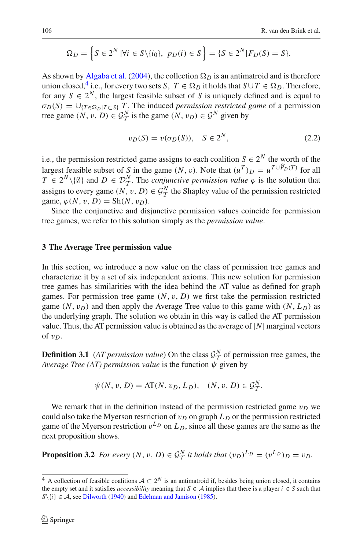$$
\Omega_D = \left\{ S \in 2^N \mid \forall i \in S \setminus \{i_0\}, \ p_D(i) \in S \right\} = \left\{ S \in 2^N \mid F_D(S) = S \right\}.
$$

As shown by [Algaba et al.](#page-23-8) [\(2004\)](#page-23-8), the collection  $\Omega_D$  is an antimatroid and is therefore union closed,<sup>4</sup> i.e., for every two sets *S*,  $T \in \Omega_D$  it holds that  $S \cup T \in \Omega_D$ . Therefore, for any  $S \in 2^N$ , the largest feasible subset of *S* is uniquely defined and is equal to  $\sigma_D(S) = \bigcup_{\{T \in \Omega_D | T \subset S\}} T$ . The induced *permission restricted game* of a permission tree game  $(N, v, D) \in \mathcal{G}_T^N$  is the game  $(N, v_D) \in \mathcal{G}^N$  given by

$$
v_D(S) = v(\sigma_D(S)), \quad S \in 2^N,
$$
\n<sup>(2.2)</sup>

i.e., the permission restricted game assigns to each coalition  $S \in 2^N$  the worth of the largest feasible subset of *S* in the game  $(N, v)$ . Note that  $(u^T)_D = u^{T \cup P_D(T)}$  for all  $T \in 2^N \setminus \{\emptyset\}$  and  $D \in \mathcal{D}_{\mathcal{T}}^N$ . The *conjunctive permission value*  $\varphi$  is the solution that assigns to every game  $(N, v, D) \in \mathcal{G}_T^N$  the Shapley value of the permission restricted game,  $\varphi(N, v, D) = \text{Sh}(N, v_D)$ .

Since the conjunctive and disjunctive permission values coincide for permission tree games, we refer to this solution simply as the *permission value*.

## <span id="page-7-0"></span>**3 The Average Tree permission value**

In this section, we introduce a new value on the class of permission tree games and characterize it by a set of six independent axioms. This new solution for permission tree games has similarities with the idea behind the AT value as defined for graph games. For permission tree game  $(N, v, D)$  we first take the permission restricted game  $(N, v_D)$  and then apply the Average Tree value to this game with  $(N, L_D)$  as the underlying graph. The solution we obtain in this way is called the AT permission value. Thus, the AT permission value is obtained as the average of  $|N|$  marginal vectors of  $v_D$ .

**Definition 3.1** (*AT permission value*) On the class  $G_N^N$  of permission tree games, the *Average Tree (AT) permission value* is the function  $\psi$  given by

$$
\psi(N, v, D) = AT(N, v_D, L_D), \quad (N, v, D) \in \mathcal{G}_T^N.
$$

We remark that in the definition instead of the permission restricted game  $v_D$  we could also take the Myerson restriction of  $v_D$  on graph  $L_D$  or the permission restricted game of the Myerson restriction  $v^{L_D}$  on  $L_D$ , since all these games are the same as the next proposition shows.

<span id="page-7-2"></span>**Proposition 3.2** *For every*  $(N, v, D) \in \mathcal{G}_T^N$  *it holds that*  $(v_D)^{L_D} = (v^{L_D})_D = v_D$ .

<span id="page-7-1"></span><sup>&</sup>lt;sup>4</sup> A collection of feasible coalitions  $A \subset 2^N$  is an antimatroid if, besides being union closed, it contains the empty set and it satisfies *accessibility* meaning that  $S \in \mathcal{A}$  implies that there is a player  $i \in S$  such that  $S\{i\} \in A$ , see [Dilworth](#page-23-25) [\(1940\)](#page-23-25) and [Edelman and Jamison](#page-23-26) [\(1985](#page-23-26)).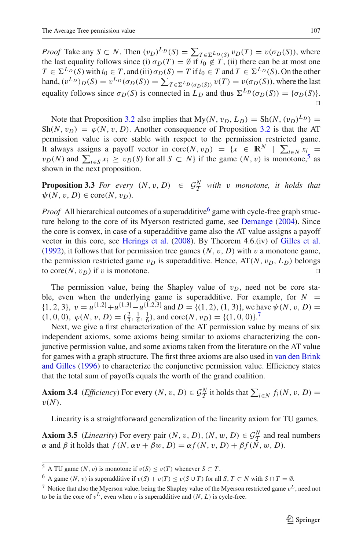*Proof* Take any *S* ⊂ *N*. Then  $(v_D)^{L_D}(S) = \sum_{T \in \Sigma^L_D(S)} v_D(T) = v(\sigma_D(S))$ , where the last equality follows since (i)  $\sigma_D(T) = \emptyset$  if  $i_0 \notin T$ , (ii) there can be at most one  $T \in \Sigma^{L_D}(S)$  with  $i_0 \in T$ , and (iii)  $\sigma_D(S) = T$  if  $i_0 \in T$  and  $T \in \Sigma^{L_D}(S)$ . On the other hand,  $(v^{L_D})_D(S) = v^{L_D}(\sigma_D(S)) = \sum_{T \in \Sigma^L_D(\sigma_D(S))} v(T) = v(\sigma_D(S))$ , where the last equality follows since  $\sigma_D(S)$  is connected in  $L_D$  and thus  $\Sigma^{L_D}(\sigma_D(S)) = {\sigma_D(S)}$ .  $\Box$ 

Note that Proposition [3.2](#page-7-2) also implies that  $My(N, v_D, L_D) = Sh(N, (v_D)^{L_D}) =$  $Sh(N, v_D) = \varphi(N, v, D)$ . Another consequence of Proposition [3.2](#page-7-2) is that the AT permission value is core stable with respect to the permission restricted game. It always assigns a payoff vector in core $(N, v_D) = \{x \in \mathbb{R}^N \mid \sum_{i \in N} x_i =$  $v_D(N)$  and  $\sum_{i \in S} x_i \ge v_D(S)$  for all  $S \subset N$ } if the game  $(N, v)$  is monotone,<sup>5</sup> as shown in the next proposition.

**Proposition 3.3** *For every*  $(N, v, D) \in \mathcal{G}_T^N$  *with* v *monotone, it holds that*  $\psi(N, v, D) \in \text{core}(N, v_D)$ .

*Proof* All hierarchical outcomes of a superadditive<sup>6</sup> game with cycle-free graph structure belong to the core of its Myerson restricted game, see [Demange](#page-23-6) [\(2004\)](#page-23-6). Since the core is convex, in case of a superadditive game also the AT value assigns a payoff vector in this core, see [Herings et al.](#page-23-5) [\(2008\)](#page-23-5). By Theorem 4.6.(iv) of [Gilles et al.](#page-23-10) [\(1992\)](#page-23-10), it follows that for permission tree games  $(N, v, D)$  with v a monotone game, the permission restricted game  $v_D$  is superadditive. Hence,  $AT(N, v_D, L_D)$  belongs to core $(N, v_D)$  if v is monotone.  $\Box$ 

The permission value, being the Shapley value of  $v_D$ , need not be core stable, even when the underlying game is superadditive. For example, for  $N =$  $\{1, 2, 3\}, v = u^{\{1,2\}} + u^{\{1,3\}} - u^{\{1,2,3\}}$  and  $D = \{(1, 2), (1, 3)\},$  we have  $\psi(N, v, D) =$  $(1, 0, 0), \varphi(N, v, D) = (\frac{2}{3}, \frac{1}{6}, \frac{1}{6}), \text{ and } \text{core}(N, v_D) = {(1, 0, 0)}$ .

Next, we give a first characterization of the AT permission value by means of six independent axioms, some axioms being similar to axioms characterizing the conjunctive permission value, and some axioms taken from the literature on the AT value for games [with](#page-24-6) [a](#page-24-6) [graph](#page-24-6) [structure.](#page-24-6) [The](#page-24-6) [first](#page-24-6) [three](#page-24-6) [axioms](#page-24-6) [are](#page-24-6) [also](#page-24-6) [used](#page-24-6) [in](#page-24-6) van den Brink and Gilles [\(1996\)](#page-24-6) to characterize the conjunctive permission value. Efficiency states that the total sum of payoffs equals the worth of the grand coalition.

<span id="page-8-3"></span>**Axiom 3.4** (*Efficiency*) For every  $(N, v, D) \in \mathcal{G}_T^N$  it holds that  $\sum_{i \in N} f_i(N, v, D) =$  $v(N)$ .

Linearity is a straightforward generalization of the linearity axiom for TU games.

**Axiom 3.5** (*Linearity*) For every pair  $(N, v, D)$ ,  $(N, w, D) \in \mathcal{G}_T^N$  and real numbers  $\mathcal{F}$  and  $\mathcal{F}$  is balde that  $f(N, w, D)$ ,  $g(f(N, w, D)) + g(f(N, w, D))$  $\alpha$  and  $\beta$  it holds that  $f(N, \alpha v + \beta w, D) = \alpha f(N, v, D) + \beta f(\overline{N}, w, D)$ .

<sup>&</sup>lt;sup>5</sup> A TU game  $(N, v)$  is monotone if  $v(S) \le v(T)$  whenever  $S \subset T$ .

<span id="page-8-0"></span><sup>6</sup> A game  $(N, v)$  is superadditive if  $v(S) + v(T) \le v(S \cup T)$  for all  $S, T \subset N$  with  $S \cap T = \emptyset$ .

<span id="page-8-2"></span><span id="page-8-1"></span><sup>&</sup>lt;sup>7</sup> Notice that also the Myerson value, being the Shapley value of the Myerson restricted game  $v<sup>L</sup>$ , need not to be in the core of  $v^L$ , even when v is superadditive and  $(N, L)$  is cycle-free.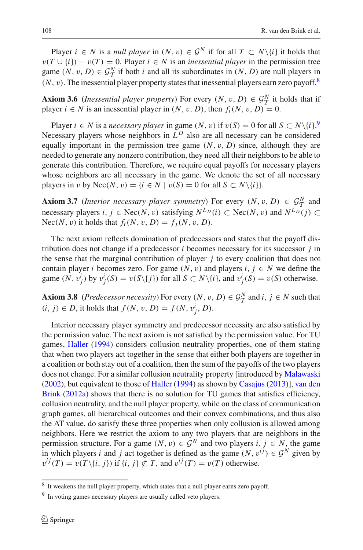Player  $i \in N$  is a *null player* in  $(N, v) \in \mathcal{G}^N$  if for all  $T \subset N\setminus\{i\}$  it holds that  $v(T \cup \{i\}) - v(T) = 0$ . Player  $i \in N$  is an *inessential player* in the permission tree game  $(N, v, D) \in \mathcal{G}_T^N$  if both *i* and all its subordinates in  $(N, D)$  are null players in  $(N, v)$ . The inessential player property states that inessential players earn zero payoff.<sup>8</sup>

**Axiom 3.6** (*Inessential player property*) For every  $(N, v, D) \in G_1^N$  it holds that if player  $i \in N$  is an inessential player in  $(N, v, D)$  than  $f(N, v, D) = 0$ player  $i \in N$  is an inessential player in  $(N, v, D)$ , then  $f_i(N, v, D) = 0$ .

Player  $i \in N$  is a *necessary player* in game  $(N, v)$  if  $v(S) = 0$  for all  $S \subset N \setminus \{i\}$ .<sup>[9](#page-9-1)</sup> Necessary players whose neighbors in  $L^D$  also are all necessary can be considered equally important in the permission tree game  $(N, v, D)$  since, although they are needed to generate any nonzero contribution, they need all their neighbors to be able to generate this contribution. Therefore, we require equal payoffs for necessary players whose neighbors are all necessary in the game. We denote the set of all necessary players in v by Nec(N, v) = { $i \in N \mid v(S) = 0$  for all  $S \subset N \setminus \{i\}$ .

**Axiom 3.7** (*Interior necessary player symmetry*) For every  $(N, v, D) \in \mathcal{G}_T^N$  and necessary players *i*, *j* ∈ Nec(*N*, *v*) satisfying  $N^{L_D}(i) \subset$  Nec(*N*, *v*) and  $N^{L_D}(j) \subset$ Nec(N, v) it holds that  $f_i(N, v, D) = f_i(N, v, D)$ .

The next axiom reflects domination of predecessors and states that the payoff distribution does not change if a predecessor *i* becomes necessary for its successor *j* in the sense that the marginal contribution of player *j* to every coalition that does not contain player *i* becomes zero. For game  $(N, v)$  and players  $i, j \in N$  we define the game  $(N, v_j^i)$  by  $v_j^i(S) = v(S \setminus \{j\})$  for all  $S \subset N \setminus \{i\}$ , and  $v_j^i(S) = v(S)$  otherwise.

**Axiom 3.8** (*Predecessor necessity*) For every  $(N, v, D) \in \mathcal{G}_T^N$  and  $i, j \in N$  such that  $(i, j) ∈ D$ , it holds that  $f(N, v, D) = f(N, v_j^i, D)$ .

Interior necessary player symmetry and predecessor necessity are also satisfied by the permission value. The next axiom is not satisfied by the permission value. For TU games, [Haller](#page-23-12) [\(1994\)](#page-23-12) considers collusion neutrality properties, one of them stating that when two players act together in the sense that either both players are together in a coalition or both stay out of a coalition, then the sum of the payoffs of the two players does not change. For a similar collusion neutrality property [introduced by [Malawaski](#page-24-10) [\(2002](#page-24-10)[\),](#page-24-8) [but](#page-24-8) [equivalent](#page-24-8) [to](#page-24-8) [those](#page-24-8) [of](#page-24-8) [Haller](#page-23-12) [\(1994\)](#page-23-12) as shown by [Casajus](#page-23-27) [\(2013](#page-23-27))], van den Brink [\(2012a\)](#page-24-8) shows that there is no solution for TU games that satisfies efficiency, collusion neutrality, and the null player property, while on the class of communication graph games, all hierarchical outcomes and their convex combinations, and thus also the AT value, do satisfy these three properties when only collusion is allowed among neighbors. Here we restrict the axiom to any two players that are neighbors in the permission structure. For a game  $(N, v) \in \mathcal{G}^N$  and two players  $i, j \in N$ , the game in which players *i* and *j* act together is defined as the game  $(N, v^{ij}) \in \mathcal{G}^N$  given by  $v^{ij}(T) = v(T \setminus \{i, j\})$  if  $\{i, j\} \not\subset T$ , and  $v^{ij}(T) = v(T)$  otherwise.

<span id="page-9-2"></span><sup>8</sup> It weakens the null player property, which states that a null player earns zero payoff.

<span id="page-9-1"></span><span id="page-9-0"></span><sup>9</sup> In voting games necessary players are usually called veto players.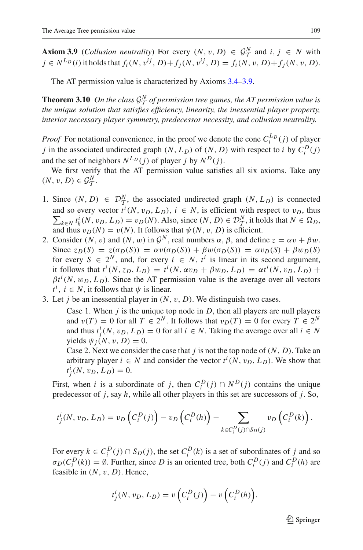**Axiom 3.9** (*Collusion neutrality*) For every  $(N, v, D) \in \mathcal{G}_T^N$  and  $i, j \in N$  with  $i \in N^{L_D}(i)$  it holds that  $f_i(N, v^{ij}, D) + f_i(N, v^{ij}, D) = f_i(N, v, D) + f_j(N, v, D)$ .

The AT permission value is characterized by Axioms [3.4](#page-8-3)[–3.9.](#page-9-2)

<span id="page-10-0"></span>**Theorem 3.10** *On the class*  $\mathcal{G}_T^N$  *of permission tree games, the AT permission value is*<br>the unique solution that eatiefies efficiency, linearity, the inespectial player property *the unique solution that satisfies efficiency, linearity, the inessential player property, interior necessary player symmetry, predecessor necessity, and collusion neutrality.*

*Proof* For notational convenience, in the proof we denote the cone  $C_i^{L_D}(j)$  of player *j* in the associated undirected graph  $(N, L_D)$  of  $(N, D)$  with respect to *i* by  $C_i^D(j)$ and the set of neighbors  $N^{L_D}(i)$  of player *j* by  $N^D(i)$ .

We first verify that the AT permission value satisfies all six axioms. Take any  $(N, v, D) \in \mathcal{G}_T^N$ .

- 1. Since  $(N, D) \in \mathcal{D}_T^N$ , the associated undirected graph  $(N, L_D)$  is connected and so every vector  $t^i(N, v_D, L_D)$ ,  $i \in N$ , is efficient with respect to  $v_D$ , thus  $\sum_{k \in N} t_k^i(N, v_D, L_D) = v_D(N)$ . Also, since  $(N, D) \in \mathcal{D}_{\mathcal{T}}^N$ , it holds that  $N \in \Omega_D$ , and thus  $v_D(N) = v(N)$ . It follows that  $\psi(N, v, D)$  is efficient.
- 2. Consider  $(N, v)$  and  $(N, w)$  in  $\mathcal{G}^N$ , real numbers  $\alpha, \beta$ , and define  $z = \alpha v + \beta w$ . Since  $z_D(S) = z(\sigma_D(S)) = \alpha v(\sigma_D(S)) + \beta w(\sigma_D(S)) = \alpha v_D(S) + \beta w_D(S)$ for every  $S \in 2^N$ , and, for every  $i \in N$ ,  $t^i$  is linear in its second argument, it follows that  $t^i(N, z_D, L_D) = t^i(N, \alpha v_D + \beta w_D, L_D) = \alpha t^i(N, v_D, L_D) +$  $\beta t^i(N, w_D, L_D)$ . Since the AT permission value is the average over all vectors  $t^i$ ,  $i \in N$ , it follows that  $\psi$  is linear.
- 3. Let *j* be an inessential player in (*N*, v, *D*). We distinguish two cases.

Case 1. When  $j$  is the unique top node in  $D$ , then all players are null players and  $v(T) = 0$  for all  $T \in 2^N$ . It follows that  $v_D(T) = 0$  for every  $T \in 2^N$ and thus  $t_j^i(N, v_D, L_D) = 0$  for all  $i \in N$ . Taking the average over all  $i \in N$ yields  $\psi_i(N, v, D) = 0$ .

Case 2. Next we consider the case that *j* is not the top node of (*N*, *D*). Take an arbitrary player  $i \in N$  and consider the vector  $t^i(N, v_D, L_D)$ . We show that  $t_j^i(N, v_D, L_D) = 0.$ 

First, when *i* is a subordinate of *j*, then  $C_i^D(j) \cap N^D(j)$  contains the unique predecessor of *j*, say *h*, while all other players in this set are successors of *j*. So,

$$
t_j^i(N, v_D, L_D) = v_D\left(C_i^D(j)\right) - v_D\left(C_i^D(h)\right) - \sum_{k \in C_i^D(j) \cap S_D(j)} v_D\left(C_i^D(k)\right).
$$

For every  $k \in C_i^D(j) \cap S_D(j)$ , the set  $C_i^D(k)$  is a set of subordinates of *j* and so  $\sigma_D(C_i^D(k)) = \emptyset$ . Further, since *D* is an oriented tree, both  $C_i^D(j)$  and  $C_i^D(h)$  are feasible in (*N*, v, *D*). Hence,

$$
t_j^i(N, v_D, L_D) = v\left(C_i^D(j)\right) - v\left(C_i^D(h)\right).
$$

 $\mathcal{D}$  Springer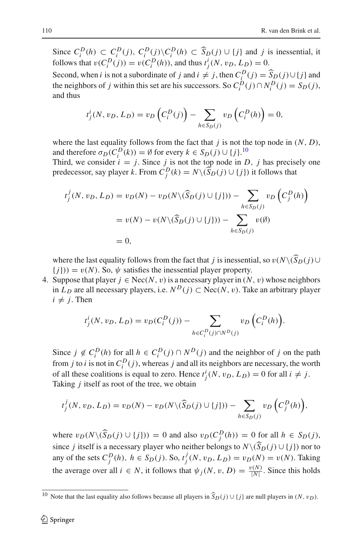Since  $C_i^D(h) \subset C_i^D(j)$ ,  $C_i^D(j) \setminus C_i^D(h) \subset \widehat{S}_D(j) \cup \{j\}$  and j is inessential, it follows that  $v(C_i^D(j)) = v(C_i^D(h))$ , and thus  $t_j^i(N, v_D, L_D) = 0$ .

Second, when *i* is not a subordinate of *j* and  $i \neq j$ , then  $C_i^D(j) = \widehat{S}_D(j) \cup \{j\}$  and the mainly second is not properly  $S \subseteq \widehat{C}_D^D(j) \cap \widehat{S}_D^D(j)$ . the neighbors of *j* within this set are his successors. So  $C_i^D(j) \cap N_i^D(j) = S_D(j)$ , and thus

$$
t_j^i(N, v_D, L_D) = v_D\left(C_i^D(j)\right) - \sum_{h \in S_D(j)} v_D\left(C_i^D(h)\right) = 0,
$$

where the last equality follows from the fact that  $j$  is not the top node in  $(N, D)$ , and therefore  $\sigma_D(C_i^D(k)) = \emptyset$  for every  $k \in S_D(j) \cup \{j\}$ .<sup>[10](#page-11-0)</sup>

Third, we consider  $i = j$ . Since *j* is not the top node in *D*, *j* has precisely one predecessor, say player *k*. From  $C_j^D(k) = N \setminus (\widehat{S}_D(j) \cup \{j\})$  it follows that

$$
t_j^j(N, v_D, L_D) = v_D(N) - v_D(N \setminus (\widehat{S}_D(j) \cup \{j\})) - \sum_{h \in S_D(j)} v_D(C_j^D(h))
$$
  
=  $v(N) - v(N \setminus (\widehat{S}_D(j) \cup \{j\})) - \sum_{h \in S_D(j)} v(\emptyset)$   
= 0,

where the last equality follows from the fact that *j* is inessential, so  $v(N\setminus\{S_D(i)\cup\{S_D(i)\}\cup\{S_D(i)\cup\{S_D(i)\}\})$  ${j}) = v(N)$ . So,  $\psi$  satisfies the inessential player property.

4. Suppose that player  $j \in \text{Nec}(N, v)$  is a necessary player in  $(N, v)$  whose neighbors in *L<sub>D</sub>* are all necessary players, i.e.  $N^D(j)$  ⊂ Nec(*N*, *v*). Take an arbitrary player  $i \neq j$ . Then

$$
t_j^i(N, v_D, L_D) = v_D(C_i^D(j)) - \sum_{h \in C_i^D(j) \cap N^D(j)} v_D\left(C_i^D(h)\right).
$$

Since  $j \notin C_i^D(h)$  for all  $h \in C_i^D(j) \cap N^D(j)$  and the neighbor of *j* on the path from *j* to *i* is not in  $C_i^D(j)$ , whereas *j* and all its neighbors are necessary, the worth of all these coalitions is equal to zero. Hence  $t_j^i(N, v_D, L_D) = 0$  for all  $i \neq j$ . Taking *j* itself as root of the tree, we obtain

$$
t_j^j(N, v_D, L_D) = v_D(N) - v_D(N \setminus (\widehat{S}_D(j) \cup \{j\})) - \sum_{h \in S_D(j)} v_D\left(C_j^D(h)\right),
$$

where  $v_D(N \setminus (\widehat{S}_D(j) \cup \{j\})) = 0$  and also  $v_D(C_j^D(h)) = 0$  for all  $h \in S_D(j)$ , since *j* itself is a necessary player who neither belongs to  $N\backslash (\widehat{S}_D(j) \cup \{j\})$  nor to any of the sets  $C_j^D(h)$ ,  $h \in S_D(j)$ . So,  $t_j^j(N, v_D, L_D) = v_D(N) = v(N)$ . Taking the average over all  $i \in N$ , it follows that  $\psi_j(N, v, D) = \frac{v(N)}{|N|}$ . Since this holds

<span id="page-11-0"></span><sup>&</sup>lt;sup>10</sup> Note that the last equality also follows because all players in  $\widehat{S}_D(j) \cup \{j\}$  are null players in  $(N, v_D)$ .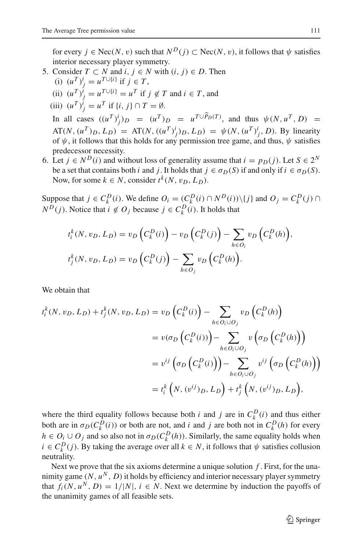for every  $j \in \text{Nec}(N, v)$  such that  $N^D(j) \subset \text{Nec}(N, v)$ , it follows that  $\psi$  satisfies interior necessary player symmetry.

- 5. Consider  $T \subset N$  and  $i, j \in N$  with  $(i, j) \in D$ . Then
	- (i)  $(u^T)^i_j = u^{T \cup \{i\}}$  if  $j \in T$ ,
	- (ii)  $(u^T)^i_j = u^{T \cup \{i\}} = u^T$  if  $j \notin T$  and  $i \in T$ , and
	- (iii)  $(u^T)^i_j = u^T$  if  $\{i, j\} \cap T = \emptyset$ .

In all cases  $((u^T)^i)_D = (u^T)^i_D = u^{T \cup P_D(T)}$ , and thus  $\psi(N, u^T, D) =$  $AT(N, (u^T)_D, L_D) = AT(N, ((u^T)^i_j)_D, L_D) = \psi(N, (u^T)^i_j, D)$ . By linearity of  $\psi$ , it follows that this holds for any permission tree game, and thus,  $\psi$  satisfies predecessor necessity.

6. Let *j* ∈ *N*<sup>*D*</sup>(*i*) and without loss of generality assume that *i* = *p*<sub>*D*</sub>(*j*). Let *S* ∈ 2<sup>*N*</sup> be a set that contains both *i* and *j*. It holds that  $j \in \sigma_D(S)$  if and only if  $i \in \sigma_D(S)$ . Now, for some  $k \in N$ , consider  $t^k(N, v_D, L_D)$ .

Suppose that  $j \in C_k^D(i)$ . We define  $O_i = (C_k^D(i) \cap N^D(i)) \setminus \{j\}$  and  $O_j = C_k^D(j) \cap N^D(i)$ *N*<sup>D</sup>(*j*). Notice that *i* ∉ *O<sub>j</sub>* because *j* ∈  $C_k^D(i)$ . It holds that

$$
t_i^k(N, v_D, L_D) = v_D\left(C_k^D(i)\right) - v_D\left(C_k^D(j)\right) - \sum_{h \in O_i} v_D\left(C_k^D(h)\right),
$$
  

$$
t_j^k(N, v_D, L_D) = v_D\left(C_k^D(j)\right) - \sum_{h \in O_j} v_D\left(C_k^D(h)\right).
$$

We obtain that

$$
t_i^k(N, v_D, L_D) + t_j^k(N, v_D, L_D) = v_D\left(C_k^D(i)\right) - \sum_{h \in O_i \cup O_j} v_D\left(C_k^D(h)\right)
$$
  

$$
= v(\sigma_D\left(C_k^D(i)\right)) - \sum_{h \in O_i \cup O_j} v\left(\sigma_D\left(C_k^D(h)\right)\right)
$$
  

$$
= v^{ij}\left(\sigma_D\left(C_k^D(i)\right)\right) - \sum_{h \in O_i \cup O_j} v^{ij}\left(\sigma_D\left(C_k^D(h)\right)\right)
$$
  

$$
= t_i^k\left(N, (v^{ij})_D, L_D\right) + t_j^k\left(N, (v^{ij})_D, L_D\right),
$$

where the third equality follows because both *i* and *j* are in  $C_k^D(i)$  and thus either both are in  $\sigma_D(C_k^D(i))$  or both are not, and *i* and *j* are both not in  $C_k^D(h)$  for every  $h \in O_i \cup O_j$  and so also not in  $\sigma_D(C_k^D(h))$ . Similarly, the same equality holds when  $i \in C_k^D(j)$ . By taking the average over all  $k \in N$ , it follows that  $\psi$  satisfies collusion neutrality.

Next we prove that the six axioms determine a unique solution *f* . First, for the unanimity game  $(N, u^N, D)$  it holds by efficiency and interior necessary player symmetry that  $f_i(N, u^N, D) = 1/|N|, i \in N$ . Next we determine by induction the payoffs of the unanimity games of all feasible sets.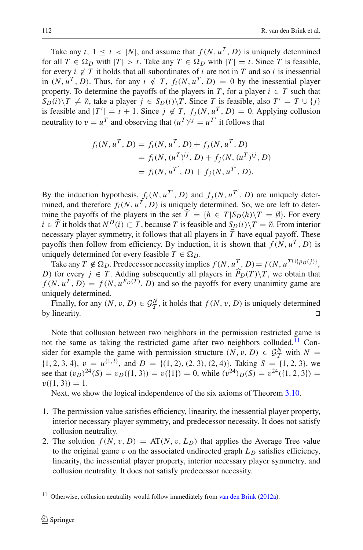Take any *t*,  $1 \le t \le |N|$ , and assume that  $f(N, u^T, D)$  is uniquely determined for all  $T \in \Omega_D$  with  $|T| > t$ . Take any  $T \in \Omega_D$  with  $|T| = t$ . Since *T* is feasible, for every  $i \notin T$  it holds that all subordinates of  $i$  are not in  $T$  and so  $i$  is inessential in  $(N, u^T, D)$ . Thus, for any  $i \notin T$ ,  $f_i(N, u^T, D) = 0$  by the inessential player property. To determine the payoffs of the players in *T*, for a player  $i \in T$  such that  $S_D(i) \setminus T \neq \emptyset$ , take a player  $j \in S_D(i) \setminus T$ . Since *T* is feasible, also  $T' = T \cup \{j\}$ is feasible and  $|T'| = t + 1$ . Since  $j \notin T$ ,  $f_j(N, u^T, D) = 0$ . Applying collusion neutrality to  $v = u^T$  and observing that  $(u^T)^{ij} = u^T'$  it follows that

$$
f_i(N, u^T, D) = f_i(N, u^T, D) + f_j(N, u^T, D)
$$
  
=  $f_i(N, (u^T)^{ij}, D) + f_j(N, (u^T)^{ij}, D)$   
=  $f_i(N, u^{T'}, D) + f_j(N, u^{T'}, D)$ .

By the induction hypothesis,  $f_i(N, u^T, D)$  and  $f_j(N, u^T, D)$  are uniquely determined, and therefore  $f_i(N, u^T, D)$  is uniquely determined. So, we are left to determine the payoffs of the players in the set  $T = \{h \in T | S_D(h) \mid T = \emptyset\}$ . For every *i* ∈  $\hat{T}$  it holds that  $N^D(i) \subset T$ , because *T* is feasible and  $S_D(i) \setminus T = \emptyset$ . From interior necessary player symmetry, it follows that all players in *T* have equal payoff. These payoffs then follow from efficiency. By induction, it is shown that  $f(N, u^T, D)$  is uniquely determined for every feasible  $T \in \Omega_D$ .

Take any  $T \notin \Omega_D$ . Predecessor necessity implies  $f(N, u^T, D) = f(N, u^{T \cup \{p_D(j)\}},$ *D*) for every *j* ∈ *T*. Adding subsequently all players in  $P_D(T)\setminus T$ , we obtain that  $f(N, n, T, D) = f(N, n, F_D(T), D)$  and so the pounts for every unonimity came are  $f(N, u^T, D) = f(N, u^{F_D(T)}, D)$  and so the payoffs for every unanimity game are uniquely determined.

Finally, for any  $(N, v, D) \in \mathcal{G}_T^N$ , it holds that  $f(N, v, D)$  is uniquely determined by linearity.  $\Box$  $\Box$ 

Note that collusion between two neighbors in the permission restricted game is not the same as taking the restricted game after two neighbors colluded.<sup>[11](#page-13-0)</sup> Consider for example the game with permission structure  $(N, v, D) \in \mathcal{G}_T^N$  with  $N =$  $\{1, 2, 3, 4\}, v = u^{\{1,3\}}, \text{ and } D = \{(1, 2), (2, 3), (2, 4)\}.$  Taking  $S = \{1, 2, 3\}, w$ see that  $(v_D)^{24}(S) = v_D({1, 3}) = v({1}) = 0$ , while  $(v^{24})_D(S) = v^{24}({1, 2, 3}) =$  $v({1, 3}) = 1.$ 

Next, we show the logical independence of the six axioms of Theorem [3.10.](#page-10-0)

- 1. The permission value satisfies efficiency, linearity, the inessential player property, interior necessary player symmetry, and predecessor necessity. It does not satisfy collusion neutrality.
- 2. The solution  $f(N, v, D) = AT(N, v, L_D)$  that applies the Average Tree value to the original game  $v$  on the associated undirected graph  $L<sub>D</sub>$  satisfies efficiency, linearity, the inessential player property, interior necessary player symmetry, and collusion neutrality. It does not satisfy predecessor necessity.

<span id="page-13-0"></span><sup>&</sup>lt;sup>11</sup> Otherwise, collusion neutrality would follow immediately from [van den Brink](#page-24-8) [\(2012a](#page-24-8)).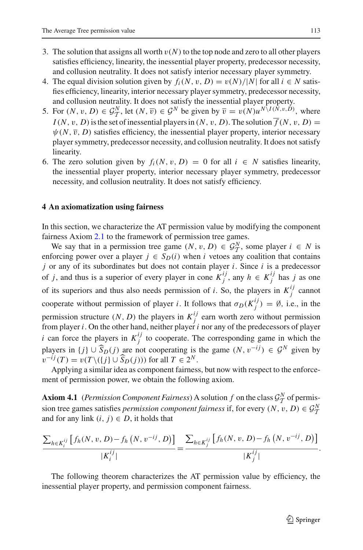- 3. The solution that assigns all worth  $v(N)$  to the top node and zero to all other players satisfies efficiency, linearity, the inessential player property, predecessor necessity, and collusion neutrality. It does not satisfy interior necessary player symmetry.
- 4. The equal division solution given by  $f_i(N, v, D) = v(N)/|N|$  for all  $i \in N$  satisfies efficiency, linearity, interior necessary player symmetry, predecessor necessity, and collusion neutrality. It does not satisfy the inessential player property.
- 5. For  $(N, v, D) \in \mathcal{G}_T^N$ , let  $(N, \overline{v}) \in \mathcal{G}^N$  be given by  $\overline{v} = v(N)u^{N\setminus I(N, v, D)}$ , where  $I(N, v, D)$  is the set of inessential players in  $(N, v, D)$ . The solution  $\overline{f}(N, v, D)$  =  $\psi(N, \overline{v}, D)$  satisfies efficiency, the inessential player property, interior necessary player symmetry, predecessor necessity, and collusion neutrality. It does not satisfy linearity.
- 6. The zero solution given by  $f_i(N, v, D) = 0$  for all  $i \in N$  satisfies linearity, the inessential player property, interior necessary player symmetry, predecessor necessity, and collusion neutrality. It does not satisfy efficiency.

## <span id="page-14-0"></span>**4 An axiomatization using fairness**

In this section, we characterize the AT permission value by modifying the component fairness Axiom [2.1](#page-5-1) to the framework of permission tree games.

We say that in a permission tree game  $(N, v, D) \in \mathcal{G}_T^N$ , some player  $i \in N$  is foreign power over a player  $i \in S_{-}(i)$  when *i* vertee any coolition that contained enforcing power over a player  $j \in S_D(i)$  when *i* vetoes any coalition that contains *j* or any of its subordinates but does not contain player *i*. Since *i* is a predecessor of *j*, and thus is a superior of every player in cone  $K_j^{ij}$ , any  $h \in K_j^{ij}$  has *j* as one of its superiors and thus also needs permission of *i*. So, the players in  $K_j^{ij}$  cannot cooperate without permission of player *i*. It follows that  $\sigma_D(K_j^{ij}) = \emptyset$ , i.e., in the permission structure  $(N, D)$  the players in  $K_j^{ij}$  earn worth zero without permission from player *i*. On the other hand, neither player *i* nor any of the predecessors of player *i* can force the players in  $K_j^{ij}$  to cooperate. The corresponding game in which the players in  $\{j\} \cup \widehat{S}_D(j)$  are not cooperating is the game  $(N, v^{-ij}) \in \mathcal{G}^N$  given by  $v^{-ij}(T) = v(T \setminus (\{j\} \cup \widehat{S}_D(j)))$  for all  $T \in 2^N$ .

Applying a similar idea as component fairness, but now with respect to the enforcement of permission power, we obtain the following axiom.

**Axiom 4.1** (*Permission Component Fairness*) A solution *f* on the class  $\mathcal{G}_T^N$  of permission tree games satisfies *permission component fairness* if, for every  $(N, v, D) \in \mathcal{G}_T^N$ and for any link  $(i, j) \in D$ , it holds that

$$
\frac{\sum_{h\in K_i^{ij}} [f_h(N, v, D) - f_h(N, v^{-ij}, D)]}{|K_i^{ij}|} = \frac{\sum_{h\in K_j^{ij}} [f_h(N, v, D) - f_h(N, v^{-ij}, D)]}{|K_j^{ij}|}.
$$

<span id="page-14-1"></span>The following theorem characterizes the AT permission value by efficiency, the inessential player property, and permission component fairness.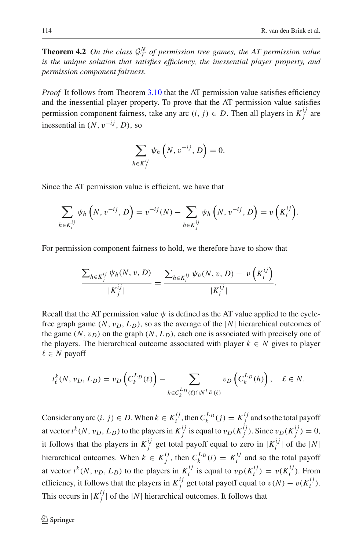**Theorem 4.2** On the class  $G^N$  of permission tree games, the AT permission value<br>is the unique solution that eatisfies efficiency the inespectial player property and *is the unique solution that satisfies efficiency, the inessential player property, and permission component fairness.*

*Proof* It follows from Theorem [3.10](#page-10-0) that the AT permission value satisfies efficiency and the inessential player property. To prove that the AT permission value satisfies permission component fairness, take any arc  $(i, j) \in D$ . Then all players in  $K_j^{ij}$  are inessential in  $(N, v^{-ij}, D)$ , so

$$
\sum_{h \in K_j^{ij}} \psi_h\left(N, v^{-ij}, D\right) = 0.
$$

Since the AT permission value is efficient, we have that

$$
\sum_{h\in K_i^{ij}} \psi_h\left(N, v^{-ij}, D\right) = v^{-ij}(N) - \sum_{h\in K_j^{ij}} \psi_h\left(N, v^{-ij}, D\right) = v\left(K_i^{ij}\right).
$$

For permission component fairness to hold, we therefore have to show that

$$
\frac{\sum_{h \in K_j^{ij}} \psi_h(N, v, D)}{|K_j^{ij}|} = \frac{\sum_{h \in K_i^{ij}} \psi_h(N, v, D) - v\left(K_i^{ij}\right)}{|K_i^{ij}|}.
$$

Recall that the AT permission value  $\psi$  is defined as the AT value applied to the cyclefree graph game  $(N, v_D, L_D)$ , so as the average of the  $|N|$  hierarchical outcomes of the game  $(N, v_D)$  on the graph  $(N, L_D)$ , each one is associated with precisely one of the players. The hierarchical outcome associated with player  $k \in N$  gives to player ∈ *N* payoff

$$
t_{\ell}^{k}(N, v_D, L_D) = v_D\left(C_k^{LD}(\ell)\right) - \sum_{h \in C_k^{LD}(\ell) \cap N^{LD}(\ell)} v_D\left(C_k^{LD}(h)\right), \quad \ell \in N.
$$

Consider any arc  $(i, j) \in D$ . When  $k \in K_i^{ij}$ , then  $C_k^{L_D}(j) = K_j^{ij}$  and so the total payoff at vector  $t^k(N, v_D, L_D)$  to the players in  $K_j^{ij}$  is equal to  $v_D(K_j^{ij})$ . Since  $v_D(K_j^{ij}) = 0$ , it follows that the players in  $K_j^{ij}$  get total payoff equal to zero in  $|K_i^{ij}|$  of the  $|N|$ hierarchical outcomes. When  $k \in K_j^{ij}$ , then  $C_k^{L_D}(i) = K_i^{ij}$  and so the total payoff at vector  $t^k(N, v_D, L_D)$  to the players in  $K_i^{ij}$  is equal to  $v_D(K_i^{ij}) = v(K_i^{ij})$ . From efficiency, it follows that the players in  $K_j^{ij}$  get total payoff equal to  $v(N) - v(K_i^{ij})$ . This occurs in  $|K_j^{ij}|$  of the  $|N|$  hierarchical outcomes. It follows that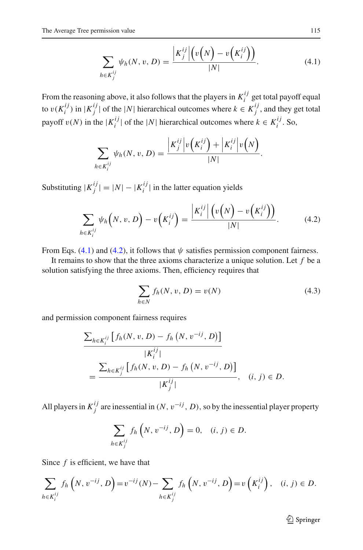$$
\sum_{h \in K_j^{ij}} \psi_h(N, v, D) = \frac{\left| K_j^{ij} \right| \left( v \left( N \right) - v \left( K_i^{ij} \right) \right)}{|N|}.
$$
\n(4.1)

<span id="page-16-0"></span>From the reasoning above, it also follows that the players in  $K_i^{ij}$  get total payoff equal to  $v(K_i^{ij})$  in  $|K_j^{ij}|$  of the  $|N|$  hierarchical outcomes where  $k \in K_j^{ij}$ , and they get total payoff  $v(N)$  in the  $|K_i^{ij}|$  of the  $|N|$  hierarchical outcomes where  $k \in K_i^{ij}$ . So,

$$
\sum_{h \in K_i^{ij}} \psi_h(N, v, D) = \frac{\left| K_j^{ij} \right| v\left( K_i^{ij} \right) + \left| K_i^{ij} \right| v\left( N \right)}{|N|}.
$$

Substituting  $|K_j^{ij}| = |N| - |K_i^{ij}|$  in the latter equation yields

$$
\sum_{h \in K_i^{ij}} \psi_h\left(N, v, D\right) - v\left(K_i^{ij}\right) = \frac{\left|K_i^{ij}\right| \left(v\left(N\right) - v\left(K_i^{ij}\right)\right)}{|N|}.
$$
 (4.2)

<span id="page-16-1"></span>From Eqs. [\(4.1\)](#page-16-0) and [\(4.2\)](#page-16-1), it follows that  $\psi$  satisfies permission component fairness.

It remains to show that the three axioms characterize a unique solution. Let *f* be a solution satisfying the three axioms. Then, efficiency requires that

$$
\sum_{h \in N} f_h(N, v, D) = v(N) \tag{4.3}
$$

<span id="page-16-2"></span>and permission component fairness requires

$$
\frac{\sum_{h \in K_i^{ij}} [f_h(N, v, D) - f_h(N, v^{-ij}, D)]}{|K_i^{ij}|}
$$
\n
$$
= \frac{\sum_{h \in K_j^{ij}} [f_h(N, v, D) - f_h(N, v^{-ij}, D)]}{|K_j^{ij}|}, \quad (i, j) \in D.
$$

All players in  $K_j^{ij}$  are inessential in  $(N, v^{-ij}, D)$ , so by the inessential player property

$$
\sum_{h \in K_j^{ij}} f_h\left(N, v^{-ij}, D\right) = 0, \quad (i, j) \in D.
$$

Since *f* is efficient, we have that

$$
\sum_{h \in K_i^{ij}} f_h\left(N, v^{-ij}, D\right) = v^{-ij}(N) - \sum_{h \in K_j^{ij}} f_h\left(N, v^{-ij}, D\right) = v\left(K_i^{ij}\right), \quad (i, j) \in D.
$$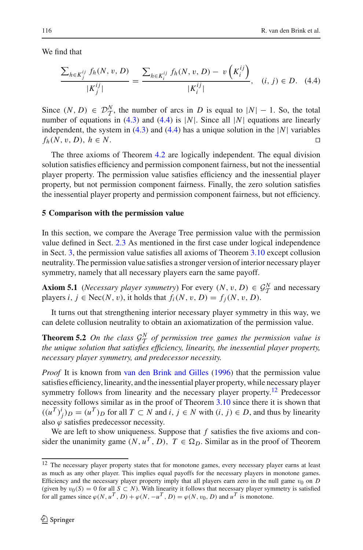<span id="page-17-1"></span>We find that

$$
\frac{\sum_{h \in K_j^{ij}} f_h(N, v, D)}{|K_j^{ij}|} = \frac{\sum_{h \in K_i^{ij}} f_h(N, v, D) - v\left(K_i^{ij}\right)}{|K_i^{ij}|}, \quad (i, j) \in D. \quad (4.4)
$$

Since  $(N, D) \in \mathcal{D}_{\mathcal{I}}^N$ , the number of arcs in *D* is equal to  $|N| - 1$ . So, the total<br>pumber of agustions in (4.3) and (4.4) is  $|N|$ . Since all  $|N|$  agustions are linearly number of equations in [\(4.3\)](#page-16-2) and [\(4.4\)](#page-17-1) is |*N*|. Since all |*N*| equations are linearly independent, the system in [\(4.3\)](#page-16-2) and [\(4.4\)](#page-17-1) has a unique solution in the  $|N|$  variables  $f_h(N, v, D)$ ,  $h \in N$ .  $\Box$ 

The three axioms of Theorem [4.2](#page-14-1) are logically independent. The equal division solution satisfies efficiency and permission component fairness, but not the inessential player property. The permission value satisfies efficiency and the inessential player property, but not permission component fairness. Finally, the zero solution satisfies the inessential player property and permission component fairness, but not efficiency.

#### <span id="page-17-0"></span>**5 Comparison with the permission value**

In this section, we compare the Average Tree permission value with the permission value defined in Sect. [2.3](#page-6-0) As mentioned in the first case under logical independence in Sect. [3,](#page-7-0) the permission value satisfies all axioms of Theorem [3.10](#page-10-0) except collusion neutrality. The permission value satisfies a stronger version of interior necessary player symmetry, namely that all necessary players earn the same payoff.

**Axiom 5.1** (*Necessary player symmetry*) For every  $(N, v, D) \in \mathcal{G}_T^N$  and necessary players  $i, j \in \mathbb{N}$  and  $j$  it holds that  $f(N, v, D) \in \mathcal{G}_T^N$  and necessary players  $i, j \in \text{Nec}(N, v)$ , it holds that  $f_i(N, v, D) = f_i(N, v, D)$ .

<span id="page-17-3"></span>It turns out that strengthening interior necessary player symmetry in this way, we can delete collusion neutrality to obtain an axiomatization of the permission value.

**Theorem 5.2** *On the class*  $G_N^N$  *of permission tree games the permission value is*<br>the unique solution that estistics of given we linearly the increasing player property *the unique solution that satisfies efficiency, linearity, the inessential player property, necessary player symmetry, and predecessor necessity.*

*Proof* It is known from [van den Brink and Gilles](#page-24-6) [\(1996](#page-24-6)) that the permission value satisfies efficiency, linearity, and the inessential player property, while necessary player symmetry follows from linearity and the necessary player property.<sup>12</sup> Predecessor necessity follows similar as in the proof of Theorem [3.10](#page-10-0) since there it is shown that  $((u<sup>T</sup>)<sup>i</sup><sub>j</sub>)<sub>D</sub> = (u<sup>T</sup>)<sub>D</sub>$  for all *T* ⊂ *N* and *i*, *j* ∈ *N* with  $(i, j) \in D$ , and thus by linearity also  $\varphi$  satisfies predecessor necessity.

We are left to show uniqueness. Suppose that *f* satisfies the five axioms and consider the unanimity game  $(N, u^T, D)$ ,  $T \in \Omega_D$ . Similar as in the proof of Theorem

<span id="page-17-2"></span><sup>&</sup>lt;sup>12</sup> The necessary player property states that for monotone games, every necessary player earns at least as much as any other player. This implies equal payoffs for the necessary players in monotone games. Efficiency and the necessary player property imply that all players earn zero in the null game  $v_0$  on *D* (given by  $v_0(S) = 0$  for all  $S \subset N$ ). With linearity it follows that necessary player symmetry is satisfied for all games since  $\varphi(N, u^T, D) + \varphi(N, -u^T, D) = \varphi(N, v_0, D)$  and  $u^T$  is monotone.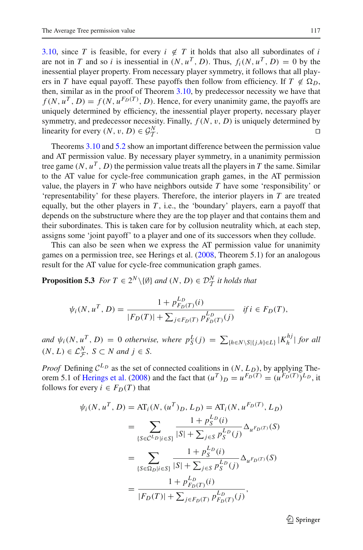[3.10,](#page-10-0) since *T* is feasible, for every  $i \notin T$  it holds that also all subordinates of *i* are not in *T* and so *i* is inessential in  $(N, u^T, D)$ . Thus,  $f_i(N, u^T, D) = 0$  by the inessential player property. From necessary player symmetry, it follows that all players in *T* have equal payoff. These payoffs then follow from efficiency. If  $T \notin \Omega_D$ , then, similar as in the proof of Theorem [3.10,](#page-10-0) by predecessor necessity we have that  $f(N, u^T, D) = f(N, u^{F_D(T)}, D)$ . Hence, for every unanimity game, the payoffs are uniquely determined by efficiency, the inessential player property, necessary player symmetry, and predecessor necessity. Finally,  $f(N, v, D)$  is uniquely determined by linearity for every  $(N, v, D) \in \mathcal{G}_{\mathcal{T}}^N$ .  $T$  .  $\Box$  $\Box$ 

Theorems [3.10](#page-10-0) and [5.2](#page-17-3) show an important difference between the permission value and AT permission value. By necessary player symmetry, in a unanimity permission tree game  $(N, u^T, D)$  the permission value treats all the players in T the same. Similar to the AT value for cycle-free communication graph games, in the AT permission value, the players in *T* who have neighbors outside *T* have some 'responsibility' or 'representability' for these players. Therefore, the interior players in *T* are treated equally, but the other players in *T* , i.e., the 'boundary' players, earn a payoff that depends on the substructure where they are the top player and that contains them and their subordinates. This is taken care for by collusion neutrality which, at each step, assigns some 'joint payoff' to a player and one of its successors when they collude.

This can also be seen when we express the AT permission value for unanimity games on a permission tree, see Herings et al. [\(2008](#page-23-5), Theorem 5.1) for an analogous result for the AT value for cycle-free communication graph games.

<span id="page-18-0"></span>**Proposition 5.3** *For*  $T \in 2^N \setminus \{\emptyset\}$  *and*  $(N, D) \in \mathcal{D}_\mathcal{T}^N$  *it holds that* 

$$
\psi_i(N, u^T, D) = \frac{1 + p_{F_D(T)}^{L_D}(i)}{|F_D(T)| + \sum_{j \in F_D(T)} p_{F_D(T)}^{L_D}(j)} \quad \text{if } i \in F_D(T),
$$

and  $\psi_i(N, u^T, D) = 0$  otherwise, where  $p_S^L(j) = \sum_{\{h \in N \setminus S | \{j,h\} \in L\}} |K_h^{hj}|$  for all  $(N, L) \in \mathcal{L}_{\mathcal{F}}^N$ ,  $S \subset N$  and  $j \in S$ .

*Proof* Defining  $C^{L_D}$  as the set of connected coalitions in  $(N, L_D)$ , by applying The-orem 5.1 of [Herings et al.](#page-23-5) [\(2008\)](#page-23-5) and the fact that  $(u^T)_D = u^{F_D(T)} = (u^{F_D(T)})^{L_D}$ , it follows for every  $i \in F_D(T)$  that

$$
\psi_i(N, u^T, D) = AT_i(N, (u^T)_D, L_D) = AT_i(N, u^{F_D(T)}, L_D)
$$
  
\n
$$
= \sum_{\{S \in C^L D | i \in S\}} \frac{1 + p_S^{L_D}(i)}{|S| + \sum_{j \in S} p_S^{L_D}(j)} \Delta_{u^{F_D(T)}}(S)
$$
  
\n
$$
= \sum_{\{S \in \Omega_D | i \in S\}} \frac{1 + p_S^{L_D}(i)}{|S| + \sum_{j \in S} p_S^{L_D}(j)} \Delta_{u^{F_D(T)}}(S)
$$
  
\n
$$
= \frac{1 + p_{F_D(T)}^{L_D}(i)}{|F_D(T)| + \sum_{j \in F_D(T)} p_{F_D(T)}^{L_D}(j)},
$$

 $\mathcal{L}$  Springer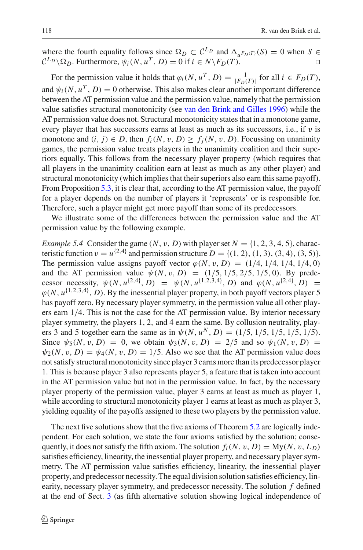where the fourth equality follows since  $\Omega_D \subset C^{L_D}$  and  $\Delta_{\mu} F_D(\tau)}(S) = 0$  when  $S \in C^{L_D}$  $\mathcal{C}^{L_D} \setminus \Omega_D$ . Furthermore,  $\psi_i(N, u^T, D) = 0$  if  $i \in N \setminus F_D(T)$ .  $\Box$ 

For the permission value it holds that  $\varphi_i(N, u^T, D) = \frac{1}{|F_D(T)|}$  for all  $i \in F_D(T)$ , and  $\psi_i(N, u^T, D) = 0$  otherwise. This also makes clear another important difference between the AT permission value and the permission value, namely that the permission value satisfies structural monotonicity (see [van den Brink and Gilles 1996](#page-24-6)) while the AT permission value does not. Structural monotonicity states that in a monotone game, every player that has successors earns at least as much as its successors, i.e., if  $v$  is monotone and  $(i, j) \in D$ , then  $f_i(N, v, D) \ge f_i(N, v, D)$ . Focussing on unanimity games, the permission value treats players in the unanimity coalition and their superiors equally. This follows from the necessary player property (which requires that all players in the unanimity coalition earn at least as much as any other player) and structural monotonicity (which implies that their superiors also earn this same payoff). From Proposition [5.3,](#page-18-0) it is clear that, according to the AT permission value, the payoff for a player depends on the number of players it 'represents' or is responsible for. Therefore, such a player might get more payoff than some of its predecessors.

We illustrate some of the differences between the permission value and the AT permission value by the following example.

*Example 5.4* Consider the game  $(N, v, D)$  with player set  $N = \{1, 2, 3, 4, 5\}$ , characteristic function  $v = u^{\{2,4\}}$  and permission structure  $D = \{(1, 2), (1, 3), (3, 4), (3, 5)\}.$ The permission value assigns payoff vector  $\varphi(N, v, D) = (1/4, 1/4, 1/4, 1/4, 0)$ and the AT permission value  $\psi(N, v, D) = (1/5, 1/5, 2/5, 1/5, 0)$ . By predecessor necessity,  $\psi(N, u^{\{2, 4\}}, D) = \psi(N, u^{\{1, 2, 3, 4\}}, D)$  and  $\varphi(N, u^{\{2, 4\}}, D) =$  $\varphi(N, u^{\{1,2,3,4\}}, D)$ . By the inessential player property, in both payoff vectors player 5 has payoff zero. By necessary player symmetry, in the permission value all other players earn 1/4. This is not the case for the AT permission value. By interior necessary player symmetry, the players 1, 2, and 4 earn the same. By collusion neutrality, players 3 and 5 together earn the same as in  $\psi(N, u^N, D) = (1/5, 1/5, 1/5, 1/5, 1/5)$ . Since  $\psi_5(N, v, D) = 0$ , we obtain  $\psi_3(N, v, D) = 2/5$  and so  $\psi_1(N, v, D) = 0$  $\psi_2(N, v, D) = \psi_4(N, v, D) = 1/5$ . Also we see that the AT permission value does not satisfy structural monotonicity since player 3 earns more than its predecessor player 1. This is because player 3 also represents player 5, a feature that is taken into account in the AT permission value but not in the permission value. In fact, by the necessary player property of the permission value, player 3 earns at least as much as player 1, while according to structural monotonicity player 1 earns at least as much as player 3, yielding equality of the payoffs assigned to these two players by the permission value.

The next five solutions show that the five axioms of Theorem [5.2](#page-17-3) are logically independent. For each solution, we state the four axioms satisfied by the solution; consequently, it does not satisfy the fifth axiom. The solution  $f_i(N, v, D) = My(N, v, L_D)$ satisfies efficiency, linearity, the inessential player property, and necessary player symmetry. The AT permission value satisfies efficiency, linearity, the inessential player property, and predecessor necessity. The equal division solution satisfies efficiency, linearity, necessary player symmetry, and predecessor necessity. The solution  $\overline{f}$  defined at the end of Sect. [3](#page-7-0) (as fifth alternative solution showing logical independence of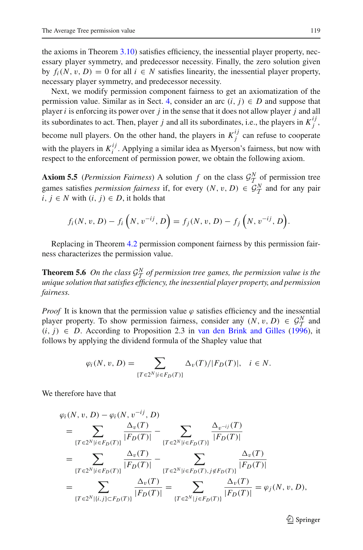the axioms in Theorem  $3.10$ ) satisfies efficiency, the inessential player property, necessary player symmetry, and predecessor necessity. Finally, the zero solution given by  $f_i(N, v, D) = 0$  for all  $i \in N$  satisfies linearity, the inessential player property, necessary player symmetry, and predecessor necessity.

Next, we modify permission component fairness to get an axiomatization of the permission value. Similar as in Sect. [4,](#page-14-0) consider an arc  $(i, j) \in D$  and suppose that player *i* is enforcing its power over *j* in the sense that it does not allow player *j* and all its subordinates to act. Then, player *j* and all its subordinates, i.e., the players in  $K_j^{ij}$ , become null players. On the other hand, the players in  $K_j^{ij}$  can refuse to cooperate with the players in  $K_i^{ij}$ . Applying a similar idea as Myerson's fairness, but now with respect to the enforcement of permission power, we obtain the following axiom.

**Axiom 5.5** (*Permission Fairness*) A solution *f* on the class  $\mathcal{G}_T^N$  of permission tree games satisfies *permission fairness* if, for every  $(N, v, D) \in \mathcal{G}_T^N$  and for any pair  $i, j \in N$  with  $(i, j) \in D$ , it holds that *i*, *j* ∈ *N* with  $(i, j)$  ∈ *D*, it holds that

$$
f_i(N, v, D) - f_i\left(N, v^{-ij}, D\right) = f_j(N, v, D) - f_j\left(N, v^{-ij}, D\right).
$$

<span id="page-20-0"></span>Replacing in Theorem [4.2](#page-14-1) permission component fairness by this permission fairness characterizes the permission value.

**Theorem 5.6** On the class  $\mathcal{G}_T^N$  of permission tree games, the permission value is the unique colution that estimates of fision as the increasing player property and permission *unique solution that satisfies efficiency, the inessential player property, and permission fairness.*

*Proof* It is known that the permission value  $\varphi$  satisfies efficiency and the inessential player property. To show permission fairness, consider any  $(N, v, D) \in \mathcal{G}_T^N$  and  $G_i$  and  $G_i$  and  $G_i$  and  $G_i$  and  $G_i$  and  $G_i$  and  $G_i$  and  $G_i$  and  $G_i$  and  $G_i$  and  $G_i$  and  $G_i$  and  $G_i$  and  $G_i$  and  $G_i$  and  $G_i$  $(i, j) \in D$ . According to Proposition 2.3 in [van den Brink and Gilles](#page-24-6) [\(1996\)](#page-24-6), it follows by applying the dividend formula of the Shapley value that

$$
\varphi_i(N, v, D) = \sum_{\{T \in 2^N | i \in F_D(T)\}} \Delta_v(T) / |F_D(T)|, \quad i \in N.
$$

We therefore have that

$$
\varphi_i(N, v, D) - \varphi_i(N, v^{-ij}, D)
$$
\n
$$
= \sum_{\{T \in 2^N | i \in F_D(T)\}} \frac{\Delta_v(T)}{|F_D(T)|} - \sum_{\{T \in 2^N | i \in F_D(T)\}} \frac{\Delta_{v^{-ij}}(T)}{|F_D(T)|}
$$
\n
$$
= \sum_{\{T \in 2^N | i \in F_D(T)\}} \frac{\Delta_v(T)}{|F_D(T)|} - \sum_{\{T \in 2^N | i \in F_D(T), j \notin F_D(T)\}} \frac{\Delta_v(T)}{|F_D(T)|}
$$
\n
$$
= \sum_{\{T \in 2^N | \{i,j\} \subset F_D(T)\}} \frac{\Delta_v(T)}{|F_D(T)|} = \sum_{\{T \in 2^N | j \in F_D(T)\}} \frac{\Delta_v(T)}{|F_D(T)|} = \varphi_j(N, v, D),
$$

 $\mathcal{L}$  Springer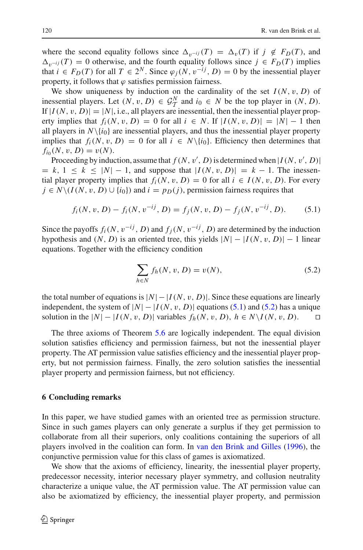where the second equality follows since  $\Delta_{v^{-ij}}(T) = \Delta_v(T)$  if  $j \notin F_D(T)$ , and  $\Delta_{v^{-ij}}(T) = 0$  otherwise, and the fourth equality follows since  $j \in F_D(T)$  implies that  $i \in F_D(T)$  for all  $T \in 2^N$ . Since  $\varphi_i(N, v^{-ij}, D) = 0$  by the inessential player property, it follows that  $\varphi$  satisfies permission fairness.

We show uniqueness by induction on the cardinality of the set  $I(N, v, D)$  of inessential players. Let  $(N, v, D) \in \mathcal{G}_T^N$  and  $i_0 \in N$  be the top player in  $(N, D)$ .<br>If  $|I(M, v, D)| = |M|$  i.e., all players are inessential than the inessential player prop. If  $|I(N, v, D)| = |N|$ , i.e., all players are inessential, then the inessential player property implies that  $f_i(N, v, D) = 0$  for all  $i \in N$ . If  $|I(N, v, D)| = |N| - 1$  then all players in  $N\{i_0\}$  are inessential players, and thus the inessential player property implies that  $f_i(N, v, D) = 0$  for all  $i \in N\{i_0\}$ . Efficiency then determines that  $f_{i_0}(N, v, D) = v(N)$ .

Proceeding by induction, assume that  $f(N, v', D)$  is determined when  $|I(N, v', D)|$  $= k, 1 ≤ k ≤ |N| - 1$ , and suppose that  $|I(N, v, D)| = k - 1$ . The inessential player property implies that  $f_i(N, v, D) = 0$  for all  $i \in I(N, v, D)$ . For every  $j \in N \setminus (I(N, v, D) \cup \{i_0\})$  and  $i = p_D(j)$ , permission fairness requires that

$$
f_i(N, v, D) - f_i(N, v^{-ij}, D) = f_j(N, v, D) - f_j(N, v^{-ij}, D). \tag{5.1}
$$

<span id="page-21-1"></span>Since the payoffs  $f_i(N, v^{-ij}, D)$  and  $f_i(N, v^{-ij}, D)$  are determined by the induction hypothesis and  $(N, D)$  is an oriented tree, this yields  $|N| - |I(N, v, D)| - 1$  linear equations. Together with the efficiency condition

$$
\sum_{h \in N} f_h(N, v, D) = v(N),
$$
\n(5.2)

<span id="page-21-2"></span>the total number of equations is  $|N| - |I(N, v, D)|$ . Since these equations are linearly independent, the system of  $|N| - |I(N, v, D)|$  equations [\(5.1\)](#page-21-1) and [\(5.2\)](#page-21-2) has a unique solution in the  $|N| − |I(N, v, D)|$  variables  $f_h(N, v, D), h ∈ N\1(N, v, D)$ .  $\Box$ 

The three axioms of Theorem [5.6](#page-20-0) are logically independent. The equal division solution satisfies efficiency and permission fairness, but not the inessential player property. The AT permission value satisfies efficiency and the inessential player property, but not permission fairness. Finally, the zero solution satisfies the inessential player property and permission fairness, but not efficiency.

#### <span id="page-21-0"></span>**6 Concluding remarks**

In this paper, we have studied games with an oriented tree as permission structure. Since in such games players can only generate a surplus if they get permission to collaborate from all their superiors, only coalitions containing the superiors of all players involved in the coalition can form. In [van den Brink and Gilles](#page-24-6) [\(1996\)](#page-24-6), the conjunctive permission value for this class of games is axiomatized.

We show that the axioms of efficiency, linearity, the inessential player property, predecessor necessity, interior necessary player symmetry, and collusion neutrality characterize a unique value, the AT permission value. The AT permission value can also be axiomatized by efficiency, the inessential player property, and permission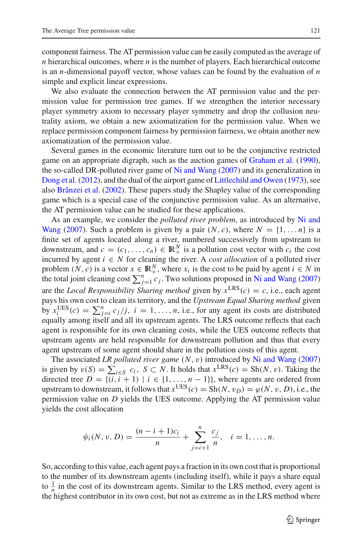component fairness. The AT permission value can be easily computed as the average of *n* hierarchical outcomes, where *n* is the number of players. Each hierarchical outcome is an *n*-dimensional payoff vector, whose values can be found by the evaluation of *n* simple and explicit linear expressions.

We also evaluate the connection between the AT permission value and the permission value for permission tree games. If we strengthen the interior necessary player symmetry axiom to necessary player symmetry and drop the collusion neutrality axiom, we obtain a new axiomatization for the permission value. When we replace permission component fairness by permission fairness, we obtain another new axiomatization of the permission value.

Several games in the economic literature turn out to be the conjunctive restricted game on an appropriate digraph, such as the auction games of [Graham et al.](#page-23-0) [\(1990](#page-23-0)), the so-called DR-polluted river game of [Ni and Wang](#page-24-11) [\(2007\)](#page-24-11) and its generalization in [Dong et al.](#page-23-28) [\(2012](#page-23-28)), and the dual of the airport game of [Littlechild and Owen](#page-23-29) [\(1973\)](#page-23-29), see also [Brânzei et al.](#page-23-30) [\(2002](#page-23-30)). These papers study the Shapley value of the corresponding game which is a special case of the conjunctive permission value. As an alternative, the AT permission value can be studied for these applications.

As [an](#page-24-11) [example,](#page-24-11) [we](#page-24-11) [consider](#page-24-11) [the](#page-24-11) *polluted river problem*, as introduced by Ni and Wang [\(2007](#page-24-11)). Such a problem is given by a pair  $(N, c)$ , where  $N = \{1, \ldots n\}$  is a finite set of agents located along a river, numbered successively from upstream to downstream, and  $c = (c_1, \ldots, c_n) \in \mathbb{R}^N_+$  is a pollution cost vector with  $c_i$  the cost incurred by agent *i* ∈ *N* for cleaning the river. A *cost allocation* of a polluted river problem  $(N, c)$  is a vector  $x \in \mathbb{R}^N_+$ , where  $x_i$  is the cost to be paid by agent  $i \in N$  in the total joint cleaning cost  $\sum_{j=1}^{n} c_j$ . Two solutions proposed in [Ni and Wang](#page-24-11) [\(2007\)](#page-24-11) are the *Local Responsibility Sharing method* given by  $x^{\text{LRS}}(c) = c$ , i.e., each agent pays his own cost to clean its territory, and the *Upstream Equal Sharing method* given by  $x_i^{\text{UES}}(c) = \sum_{j=i}^{n} c_j / j$ ,  $i = 1, ..., n$ , i.e., for any agent its costs are distributed equally among itself and all its upstream agents. The LRS outcome reflects that each agent is responsible for its own cleaning costs, while the UES outcome reflects that upstream agents are held responsible for downstream pollution and thus that every agent upstream of some agent should share in the pollution costs of this agent.

The associated *LR polluted river game* (*N*, v) introduced by [Ni and Wang](#page-24-11) [\(2007\)](#page-24-11) is given by  $v(S) = \sum_{i \in S} c_i$ ,  $S \subset N$ . It holds that  $x^{\text{LRS}}(c) = \text{Sh}(N, v)$ . Taking the directed tree  $D = \{(i, i + 1) | i \in \{1, ..., n-1\}\}\$ , where agents are ordered from upstream to downstream, it follows that  $x^{\text{UES}}(c) = \text{Sh}(N, v_D) = \varphi(N, v, D)$ , i.e., the permission value on *D* yields the UES outcome. Applying the AT permission value yields the cost allocation

$$
\psi_i(N, v, D) = \frac{(n-i+1)c_i}{n} + \sum_{j=i+1}^n \frac{c_j}{n}, \quad i = 1, \dots, n.
$$

So, according to this value, each agent pays a fraction in its own cost that is proportional to the number of its downstream agents (including itself), while it pays a share equal to  $\frac{1}{n}$  in the cost of its downstream agents. Similar to the LRS method, every agent is the highest contributor in its own cost, but not as extreme as in the LRS method where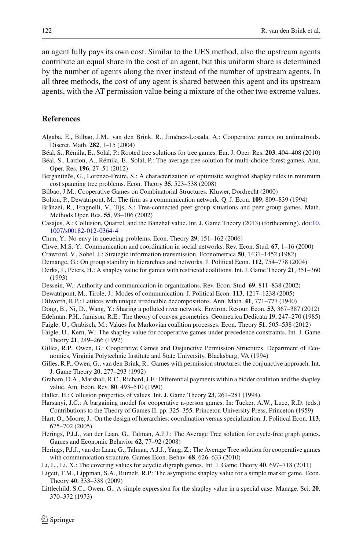an agent fully pays its own cost. Similar to the UES method, also the upstream agents contribute an equal share in the cost of an agent, but this uniform share is determined by the number of agents along the river instead of the number of upstream agents. In all three methods, the cost of any agent is shared between this agent and its upstream agents, with the AT permission value being a mixture of the other two extreme values.

## **References**

- <span id="page-23-8"></span>Algaba, E., Bilbao, J.M., van den Brink, R., Jiménez-Losada, A.: Cooperative games on antimatroids. Discret. Math. **282**, 1–15 (2004)
- <span id="page-23-23"></span>Béal, S., Rémila, E., Solal, P.: Rooted tree solutions for tree games. Eur. J. Oper. Res. **203**, 404–408 (2010)
- <span id="page-23-24"></span>Béal, S., Lardon, A., Rémila, E., Solal, P.: The average tree solution for multi-choice forest games. Ann. Oper. Res. **196**, 27–51 (2012)
- <span id="page-23-2"></span>Bergantinõs, G., Lorenzo-Freire, S.: A characterization of optimistic weighted shapley rules in minimum cost spanning tree problems. Econ. Theory **35**, 523–538 (2008)
- Bilbao, J.M.: Cooperative Games on Combinatorial Structures. Kluwer, Dordrecht (2000)
- <span id="page-23-13"></span><span id="page-23-9"></span>Bolton, P., Dewatripont, M.: The firm as a communication network. Q. J. Econ. **109**, 809–839 (1994)
- <span id="page-23-30"></span>Brânzei, R., Fragnelli, V., Tijs, S.: Tree-connected peer group situations and peer group games. Math. Methods Oper. Res. **55**, 93–106 (2002)
- <span id="page-23-27"></span>Casajus, A.: Collusion, Quarrel, and the Banzhaf value. Int. J. Game Theory (2013) (forthcoming). doi[:10.](http://dx.doi.org/10.1007/s00182-012-0364-4) [1007/s00182-012-0364-4](http://dx.doi.org/10.1007/s00182-012-0364-4)
- Chun, Y.: No-envy in queueing problems. Econ. Theory **29**, 151–162 (2006)
- <span id="page-23-14"></span><span id="page-23-1"></span>Chwe, M.S.-Y.: Communication and coordination in social networks. Rev. Econ. Stud. **67**, 1–16 (2000)
- <span id="page-23-21"></span>Crawford, V., Sobel, J.: Strategic information transmission. Econometrica **50**, 1431–1452 (1982)
- <span id="page-23-6"></span>Demange, G.: On group stability in hierarchies and networks. J. Political Econ. **112**, 754–778 (2004)
- <span id="page-23-20"></span>Derks, J., Peters, H.: A shapley value for games with restricted coalitions. Int. J. Game Theory **21**, 351–360 (1993)
- <span id="page-23-17"></span>Dessein, W.: Authority and communication in organizations. Rev. Econ. Stud. **69**, 811–838 (2002)
- <span id="page-23-16"></span>Dewatripont, M., Tirole, J.: Modes of communication. J. Political Econ. **113**, 1217–1238 (2005)
- <span id="page-23-25"></span>Dilworth, R.P.: Lattices with unique irreducible decompositions. Ann. Math. **41**, 771–777 (1940)
- <span id="page-23-28"></span>Dong, B., Ni, D., Wang, Y.: Sharing a polluted river network. Environ. Resour. Econ. **53**, 367–387 (2012)
- <span id="page-23-26"></span>Edelman, P.H., Jamison, R.E.: The theory of convex geometries. Geometrica Dedicata **19**, 247–270 (1985)
- <span id="page-23-4"></span>Faigle, U., Grabisch, M.: Values for Markovian coalition processes. Econ. Theory **51**, 505–538 (2012)
- <span id="page-23-18"></span>Faigle, U., Kern, W.: The shapley value for cooperative games under precedence constraints. Int. J. Game Theory **21**, 249–266 (1992)
- <span id="page-23-11"></span>Gilles, R.P., Owen, G.: Cooperative Games and Disjunctive Permission Structures. Department of Economics, Virginia Polytechnic Institute and State University, Blacksburg, VA (1994)
- <span id="page-23-10"></span>Gilles, R.P., Owen, G., van den Brink, R.: Games with permission structures: the conjunctive approach. Int. J. Game Theory **20**, 277–293 (1992)
- <span id="page-23-0"></span>Graham, D.A., Marshall, R.C., Richard, J.F.: Differential payments within a bidder coalition and the shapley value. Am. Econ. Rev. **80**, 493–510 (1990)
- <span id="page-23-12"></span>Haller, H.: Collusion properties of values. Int. J. Game Theory **23**, 261–281 (1994)
- <span id="page-23-22"></span>Harsanyi, J.C.: A bargaining model for cooperative n-person games. In: Tucker, A.W., Luce, R.D. (eds.) Contributions to the Theory of Games II, pp. 325–355. Princeton University Press, Princeton (1959)
- <span id="page-23-15"></span>Hart, O., Moore, J.: On the design of hierarchies: coordination versus specialization. J. Political Econ. **113**, 675–702 (2005)
- <span id="page-23-5"></span>Herings, P.J.J., van der Laan, G., Talman, A.J.J.: The Average Tree solution for cycle-free graph games. Games and Economic Behavior **62**, 77–92 (2008)
- <span id="page-23-7"></span>Herings, P.J.J., van der Laan, G., Talman, A.J.J., Yang, Z.: The Average Tree solution for cooperative games with communication structure. Games Econ. Behav. **68**, 626–633 (2010)
- <span id="page-23-19"></span>Li, L., Li, X.: The covering values for acyclic digraph games. Int. J. Game Theory **40**, 697–718 (2011)
- <span id="page-23-3"></span>Ligett, T.M., Lippman, S.A., Rumelt, R.P.: The asymptotic shapley value for a simple market game. Econ. Theory **40**, 333–338 (2009)
- <span id="page-23-29"></span>Littlechild, S.C., Owen, G.: A simple expression for the shapley value in a special case. Manage. Sci. **20**, 370–372 (1973)